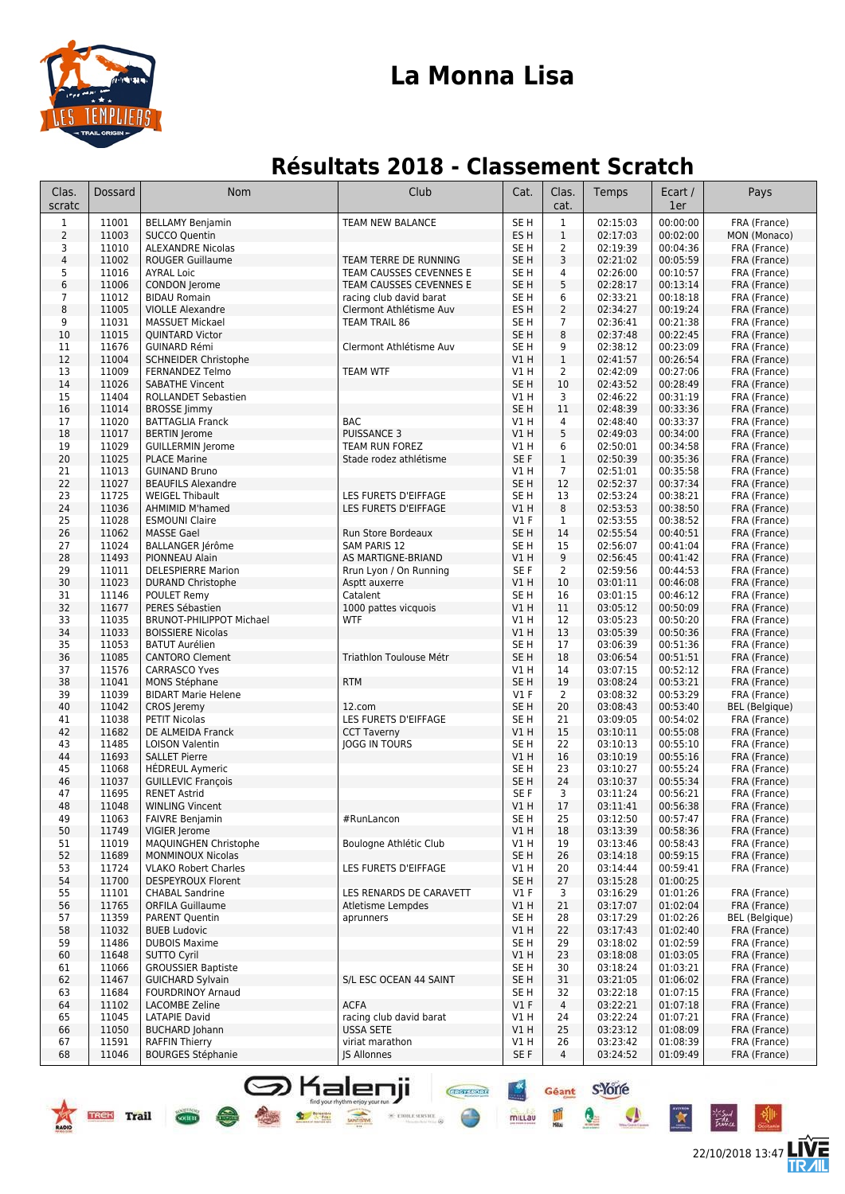

### **La Monna Lisa**

### **Résultats 2018 - Classement Scratch**

| Clas.<br>scratc     | Dossard        | Nom                                               | Club                                               | Cat.                    | Clas.<br>cat.     | Temps                | Ecart /<br>1er       | Pays                         |
|---------------------|----------------|---------------------------------------------------|----------------------------------------------------|-------------------------|-------------------|----------------------|----------------------|------------------------------|
| $\mathbf{1}$        | 11001          | <b>BELLAMY Benjamin</b>                           | <b>TEAM NEW BALANCE</b>                            | SE <sub>H</sub>         | $\mathbf{1}$      | 02:15:03             | 00:00:00             | FRA (France)                 |
| $\overline{2}$      | 11003          | <b>SUCCO Quentin</b>                              |                                                    | ES H                    | $1\,$             | 02:17:03             | 00:02:00             | MON (Monaco)                 |
| 3                   | 11010          | <b>ALEXANDRE Nicolas</b>                          |                                                    | SE <sub>H</sub>         | $\overline{2}$    | 02:19:39             | 00:04:36             | FRA (France)                 |
| $\sqrt{4}$          | 11002          | <b>ROUGER Guillaume</b>                           | TEAM TERRE DE RUNNING                              | SE <sub>H</sub>         | 3                 | 02:21:02             | 00:05:59             | FRA (France)                 |
| 5                   | 11016          | <b>AYRAL Loic</b>                                 | TEAM CAUSSES CEVENNES E                            | SE <sub>H</sub>         | 4                 | 02:26:00             | 00:10:57             | FRA (France)                 |
| 6                   | 11006          | <b>CONDON</b> Jerome                              | TEAM CAUSSES CEVENNES E                            | SE <sub>H</sub>         | 5                 | 02:28:17             | 00:13:14             | FRA (France)                 |
| $\overline{7}$<br>8 | 11012<br>11005 | <b>BIDAU Romain</b><br><b>VIOLLE Alexandre</b>    | racing club david barat<br>Clermont Athlétisme Auv | SE <sub>H</sub><br>ES H | 6<br>2            | 02:33:21<br>02:34:27 | 00:18:18<br>00:19:24 | FRA (France)<br>FRA (France) |
| 9                   | 11031          | <b>MASSUET Mickael</b>                            | <b>TEAM TRAIL 86</b>                               | SE <sub>H</sub>         | $\overline{7}$    | 02:36:41             | 00:21:38             | FRA (France)                 |
| 10                  | 11015          | <b>QUINTARD Victor</b>                            |                                                    | SE <sub>H</sub>         | 8                 | 02:37:48             | 00:22:45             | FRA (France)                 |
| 11                  | 11676          | <b>GUINARD Rémi</b>                               | Clermont Athlétisme Auv                            | SE H                    | 9                 | 02:38:12             | 00:23:09             | FRA (France)                 |
| 12                  | 11004          | <b>SCHNEIDER Christophe</b>                       |                                                    | V1 H                    | $\mathbf{1}$      | 02:41:57             | 00:26:54             | FRA (France)                 |
| 13                  | 11009          | <b>FERNANDEZ Telmo</b>                            | <b>TEAM WTF</b>                                    | V1 H                    | 2                 | 02:42:09             | 00:27:06             | FRA (France)                 |
| 14                  | 11026          | <b>SABATHE Vincent</b>                            |                                                    | SE <sub>H</sub>         | 10                | 02:43:52             | 00:28:49             | FRA (France)                 |
| 15<br>16            | 11404<br>11014 | ROLLANDET Sebastien<br><b>BROSSE Jimmy</b>        |                                                    | V1 H<br>SE <sub>H</sub> | 3<br>11           | 02:46:22<br>02:48:39 | 00:31:19<br>00:33:36 | FRA (France)<br>FRA (France) |
| 17                  | 11020          | <b>BATTAGLIA Franck</b>                           | <b>BAC</b>                                         | V1 H                    | 4                 | 02:48:40             | 00:33:37             | FRA (France)                 |
| 18                  | 11017          | <b>BERTIN</b> Jerome                              | <b>PUISSANCE 3</b>                                 | VIH                     | 5                 | 02:49:03             | 00:34:00             | FRA (France)                 |
| 19                  | 11029          | <b>GUILLERMIN Jerome</b>                          | TEAM RUN FOREZ                                     | V1 H                    | 6                 | 02:50:01             | 00:34:58             | FRA (France)                 |
| 20                  | 11025          | <b>PLACE Marine</b>                               | Stade rodez athlétisme                             | SE F                    | $\mathbf{1}$      | 02:50:39             | 00:35:36             | FRA (France)                 |
| 21                  | 11013          | <b>GUINAND Bruno</b>                              |                                                    | V1 H                    | $\overline{7}$    | 02:51:01             | 00:35:58             | FRA (France)                 |
| 22                  | 11027          | <b>BEAUFILS Alexandre</b>                         |                                                    | SE <sub>H</sub>         | 12                | 02:52:37             | 00:37:34             | FRA (France)                 |
| 23                  | 11725          | <b>WEIGEL Thibault</b>                            | LES FURETS D'EIFFAGE                               | SE H                    | 13                | 02:53:24             | 00:38:21             | FRA (France)                 |
| 24<br>25            | 11036<br>11028 | <b>AHMIMID M'hamed</b><br><b>ESMOUNI Claire</b>   | LES FURETS D'EIFFAGE                               | V1 H<br>$VI$ F          | 8<br>$\mathbf{1}$ | 02:53:53<br>02:53:55 | 00:38:50<br>00:38:52 | FRA (France)                 |
| 26                  | 11062          | <b>MASSE Gael</b>                                 | Run Store Bordeaux                                 | SE <sub>H</sub>         | 14                | 02:55:54             | 00:40:51             | FRA (France)<br>FRA (France) |
| 27                  | 11024          | BALLANGER Jérôme                                  | <b>SAM PARIS 12</b>                                | SE <sub>H</sub>         | 15                | 02:56:07             | 00:41:04             | FRA (France)                 |
| 28                  | 11493          | PIONNEAU Alain                                    | AS MARTIGNE-BRIAND                                 | VIH                     | 9                 | 02:56:45             | 00:41:42             | FRA (France)                 |
| 29                  | 11011          | <b>DELESPIERRE Marion</b>                         | Rrun Lyon / On Running                             | SE F                    | 2                 | 02:59:56             | 00:44:53             | FRA (France)                 |
| 30                  | 11023          | <b>DURAND Christophe</b>                          | Asptt auxerre                                      | VIH                     | 10                | 03:01:11             | 00:46:08             | FRA (France)                 |
| 31                  | 11146          | POULET Remy                                       | Catalent                                           | SE <sub>H</sub>         | 16                | 03:01:15             | 00:46:12             | FRA (France)                 |
| 32                  | 11677          | PERES Sébastien                                   | 1000 pattes vicquois                               | VIH                     | 11                | 03:05:12             | 00:50:09             | FRA (France)                 |
| 33<br>34            | 11035<br>11033 | <b>BRUNOT-PHILIPPOT Michael</b>                   | <b>WTF</b>                                         | V1 H<br>VIH             | 12<br>13          | 03:05:23             | 00:50:20<br>00:50:36 | FRA (France)                 |
| 35                  | 11053          | <b>BOISSIERE Nicolas</b><br><b>BATUT Aurélien</b> |                                                    | SE H                    | 17                | 03:05:39<br>03:06:39 | 00:51:36             | FRA (France)<br>FRA (France) |
| 36                  | 11085          | <b>CANTORO Clement</b>                            | Triathlon Toulouse Métr                            | SE <sub>H</sub>         | 18                | 03:06:54             | 00:51:51             | FRA (France)                 |
| 37                  | 11576          | <b>CARRASCO Yves</b>                              |                                                    | V1 H                    | 14                | 03:07:15             | 00:52:12             | FRA (France)                 |
| 38                  | 11041          | MONS Stéphane                                     | <b>RTM</b>                                         | SE <sub>H</sub>         | 19                | 03:08:24             | 00:53:21             | FRA (France)                 |
| 39                  | 11039          | <b>BIDART Marie Helene</b>                        |                                                    | $VI$ F                  | $\overline{2}$    | 03:08:32             | 00:53:29             | FRA (France)                 |
| 40                  | 11042          | CROS Jeremy                                       | 12.com                                             | SE <sub>H</sub>         | 20                | 03:08:43             | 00:53:40             | <b>BEL</b> (Belgique)        |
| 41                  | 11038          | <b>PETIT Nicolas</b>                              | LES FURETS D'EIFFAGE                               | SE <sub>H</sub>         | 21                | 03:09:05             | 00:54:02             | FRA (France)                 |
| 42<br>43            | 11682<br>11485 | DE ALMEIDA Franck<br><b>LOISON Valentin</b>       | <b>CCT Taverny</b><br><b>JOGG IN TOURS</b>         | VIH<br>SE <sub>H</sub>  | 15<br>22          | 03:10:11<br>03:10:13 | 00:55:08<br>00:55:10 | FRA (France)<br>FRA (France) |
| 44                  | 11693          | <b>SALLET Pierre</b>                              |                                                    | VIH                     | 16                | 03:10:19             | 00:55:16             | FRA (France)                 |
| 45                  | 11068          | <b>HÉDREUL Aymeric</b>                            |                                                    | SE <sub>H</sub>         | 23                | 03:10:27             | 00:55:24             | FRA (France)                 |
| 46                  | 11037          | <b>GUILLEVIC François</b>                         |                                                    | SE <sub>H</sub>         | 24                | 03:10:37             | 00:55:34             | FRA (France)                 |
| 47                  | 11695          | <b>RENET Astrid</b>                               |                                                    | SE F                    | 3                 | 03:11:24             | 00:56:21             | FRA (France)                 |
| 48                  | 11048          | <b>WINLING Vincent</b>                            |                                                    | V1 H                    | 17                | 03:11:41             | 00:56:38             | FRA (France)                 |
| 49                  | 11063          | <b>FAIVRE Benjamin</b>                            | #RunLancon                                         | SE H                    | 25                | 03:12:50             | 00:57:47             | FRA (France)                 |
| 50                  | 11749          | VIGIER Jerome                                     |                                                    | V1H                     | 18                | 03:13:39             | 00:58:36             | FRA (France)                 |
| 51<br>52            | 11019<br>11689 | MAQUINGHEN Christophe<br><b>MONMINOUX Nicolas</b> | Boulogne Athlétic Club                             | V1 H<br>SE <sub>H</sub> | 19<br>26          | 03:13:46<br>03:14:18 | 00:58:43<br>00:59:15 | FRA (France)<br>FRA (France) |
| 53                  | 11724          | <b>VLAKO Robert Charles</b>                       | LES FURETS D'EIFFAGE                               | V1 H                    | 20                | 03:14:44             | 00:59:41             | FRA (France)                 |
| 54                  | 11700          | <b>DESPEYROUX Florent</b>                         |                                                    | SE <sub>H</sub>         | 27                | 03:15:28             | 01:00:25             |                              |
| 55                  | 11101          | <b>CHABAL Sandrine</b>                            | LES RENARDS DE CARAVETT                            | $VI$ F                  | 3                 | 03:16:29             | 01:01:26             | FRA (France)                 |
| 56                  | 11765          | <b>ORFILA Guillaume</b>                           | <b>Atletisme Lempdes</b>                           | V1 H                    | 21                | 03:17:07             | 01:02:04             | FRA (France)                 |
| 57                  | 11359          | PARENT Quentin                                    | aprunners                                          | SE <sub>H</sub>         | 28                | 03:17:29             | 01:02:26             | <b>BEL</b> (Belgique)        |
| 58                  | 11032          | <b>BUEB Ludovic</b>                               |                                                    | V1 H                    | 22                | 03:17:43             | 01:02:40             | FRA (France)                 |
| 59                  | 11486          | <b>DUBOIS Maxime</b>                              |                                                    | SE H                    | 29                | 03:18:02             | 01:02:59             | FRA (France)                 |
| 60                  | 11648          | <b>SUTTO Cyril</b><br><b>GROUSSIER Baptiste</b>   |                                                    | V1 H<br>SE H            | 23                | 03:18:08<br>03:18:24 | 01:03:05<br>01:03:21 | FRA (France)<br>FRA (France) |
| 61<br>62            | 11066<br>11467 | <b>GUICHARD Sylvain</b>                           | S/L ESC OCEAN 44 SAINT                             | SE H                    | 30<br>31          | 03:21:05             | 01:06:02             | FRA (France)                 |
| 63                  | 11684          | <b>FOURDRINOY Arnaud</b>                          |                                                    | SE H                    | 32                | 03:22:18             | 01:07:15             | FRA (France)                 |
| 64                  | 11102          | LACOMBE Zeline                                    | <b>ACFA</b>                                        | $VI$ F                  | $\overline{4}$    | 03:22:21             | 01:07:18             | FRA (France)                 |
| 65                  | 11045          | LATAPIE David                                     | racing club david barat                            | V1 H                    | 24                | 03:22:24             | 01:07:21             | FRA (France)                 |
| 66                  | 11050          | <b>BUCHARD Johann</b>                             | <b>USSA SETE</b>                                   | VIH                     | 25                | 03:23:12             | 01:08:09             | FRA (France)                 |
| 67                  | 11591          | <b>RAFFIN Thierry</b>                             | viriat marathon                                    | V1 H                    | 26                | 03:23:42             | 01:08:39             | FRA (France)                 |
| 68                  | 11046          | <b>BOURGES Stéphanie</b>                          | JS Allonnes                                        | SE F                    | 4                 | 03:24:52             | 01:09:49             | FRA (France)                 |

Geant S-Yorle

mittau

 $\bigoplus$ 

 $\bullet$ 

 $\overline{\mathbf{x}}$ 

**S** Kalenji

TREK Trail Com

Find your rhythm enjoy your run.<br> **All the common terms** wondered

22/10/2018 13:47

怎

长知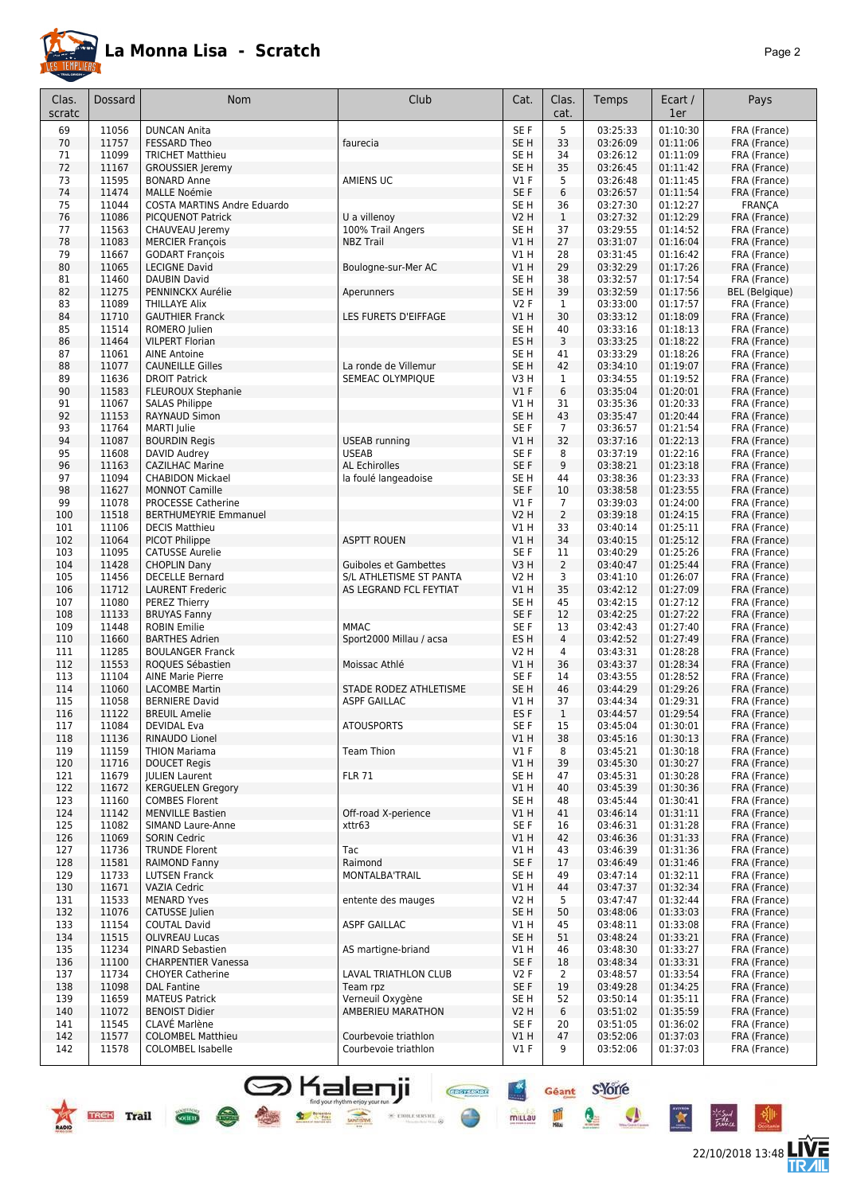

|--|--|

| Clas.<br>scratc | Dossard        | Nom                                                 | Club                                              | Cat.                   | Clas.<br>cat.  | Temps                | Ecart /<br>1er       | Pays                         |
|-----------------|----------------|-----------------------------------------------------|---------------------------------------------------|------------------------|----------------|----------------------|----------------------|------------------------------|
| 69              | 11056          | <b>DUNCAN Anita</b>                                 |                                                   | SE F                   | 5              | 03:25:33             | 01:10:30             | FRA (France)                 |
| 70              | 11757          | <b>FESSARD Theo</b>                                 | faurecia                                          | SE <sub>H</sub>        | 33             | 03:26:09             | 01:11:06             | FRA (France)                 |
| 71              | 11099          | <b>TRICHET Matthieu</b>                             |                                                   | SE <sub>H</sub>        | 34             | 03:26:12             | 01:11:09             | FRA (France)                 |
| 72              | 11167          | <b>GROUSSIER Jeremy</b>                             |                                                   | SE <sub>H</sub>        | 35             | 03:26:45             | 01:11:42             | FRA (France)                 |
| 73<br>74        | 11595<br>11474 | <b>BONARD Anne</b>                                  | AMIENS UC                                         | $VI$ F<br>SE F         | 5<br>6         | 03:26:48             | 01:11:45<br>01:11:54 | FRA (France)<br>FRA (France) |
| 75              | 11044          | <b>MALLE Noémie</b><br>COSTA MARTINS Andre Eduardo  |                                                   | SE <sub>H</sub>        | 36             | 03:26:57<br>03:27:30 | 01:12:27             | <b>FRANÇA</b>                |
| 76              | 11086          | <b>PICQUENOT Patrick</b>                            | U a villenoy                                      | V2 H                   | $\mathbf{1}$   | 03:27:32             | 01:12:29             | FRA (France)                 |
| 77              | 11563          | CHAUVEAU Jeremy                                     | 100% Trail Angers                                 | SE H                   | 37             | 03:29:55             | 01:14:52             | FRA (France)                 |
| 78              | 11083          | <b>MERCIER François</b>                             | <b>NBZ Trail</b>                                  | VIH                    | 27             | 03:31:07             | 01:16:04             | FRA (France)                 |
| 79              | 11667          | <b>GODART François</b>                              |                                                   | V1H                    | 28             | 03:31:45             | 01:16:42             | FRA (France)                 |
| 80              | 11065          | <b>LECIGNE David</b>                                | Boulogne-sur-Mer AC                               | V1 H                   | 29             | 03:32:29             | 01:17:26             | FRA (France)                 |
| 81              | 11460          | <b>DAUBIN David</b>                                 |                                                   | SE <sub>H</sub>        | 38             | 03:32:57             | 01:17:54             | FRA (France)                 |
| 82              | 11275          | PENNINCKX Aurélie                                   | Aperunners                                        | SE <sub>H</sub>        | 39             | 03:32:59             | 01:17:56             | <b>BEL</b> (Belgique)        |
| 83              | 11089<br>11710 | <b>THILLAYE Alix</b>                                |                                                   | V2F                    | $\mathbf{1}$   | 03:33:00             | 01:17:57             | FRA (France)                 |
| 84<br>85        | 11514          | <b>GAUTHIER Franck</b><br>ROMERO Julien             | LES FURETS D'EIFFAGE                              | V1H<br>SE <sub>H</sub> | 30<br>40       | 03:33:12<br>03:33:16 | 01:18:09<br>01:18:13 | FRA (France)<br>FRA (France) |
| 86              | 11464          | <b>VILPERT Florian</b>                              |                                                   | ES H                   | 3              | 03:33:25             | 01:18:22             | FRA (France)                 |
| 87              | 11061          | <b>AINE Antoine</b>                                 |                                                   | SE H                   | 41             | 03:33:29             | 01:18:26             | FRA (France)                 |
| 88              | 11077          | <b>CAUNEILLE Gilles</b>                             | La ronde de Villemur                              | SE <sub>H</sub>        | 42             | 03:34:10             | 01:19:07             | FRA (France)                 |
| 89              | 11636          | <b>DROIT Patrick</b>                                | SEMEAC OLYMPIQUE                                  | V3 H                   | 1              | 03:34:55             | 01:19:52             | FRA (France)                 |
| 90              | 11583          | <b>FLEUROUX Stephanie</b>                           |                                                   | V1F                    | 6              | 03:35:04             | 01:20:01             | FRA (France)                 |
| 91              | 11067          | <b>SALAS Philippe</b>                               |                                                   | V1 H                   | 31             | 03:35:36             | 01:20:33             | FRA (France)                 |
| 92              | 11153          | RAYNAUD Simon                                       |                                                   | SE <sub>H</sub>        | 43             | 03:35:47             | 01:20:44             | FRA (France)                 |
| 93              | 11764          | <b>MARTI</b> Julie                                  |                                                   | SE F                   | $\overline{7}$ | 03:36:57             | 01:21:54             | FRA (France)                 |
| 94              | 11087<br>11608 | <b>BOURDIN Regis</b>                                | <b>USEAB</b> running<br><b>USEAB</b>              | V1H<br>SE F            | 32<br>8        | 03:37:16<br>03:37:19 | 01:22:13<br>01:22:16 | FRA (France)                 |
| 95<br>96        | 11163          | DAVID Audrey<br><b>CAZILHAC Marine</b>              | <b>AL Echirolles</b>                              | SE F                   | 9              | 03:38:21             | 01:23:18             | FRA (France)<br>FRA (France) |
| 97              | 11094          | <b>CHABIDON Mickael</b>                             | la foulé langeadoise                              | SE <sub>H</sub>        | 44             | 03:38:36             | 01:23:33             | FRA (France)                 |
| 98              | 11627          | <b>MONNOT Camille</b>                               |                                                   | SE F                   | 10             | 03:38:58             | 01:23:55             | FRA (France)                 |
| 99              | 11078          | <b>PROCESSE Catherine</b>                           |                                                   | $VI$ F                 | $\overline{7}$ | 03:39:03             | 01:24:00             | FRA (France)                 |
| 100             | 11518          | <b>BERTHUMEYRIE Emmanuel</b>                        |                                                   | V2 H                   | $\overline{2}$ | 03:39:18             | 01:24:15             | FRA (France)                 |
| 101             | 11106          | <b>DECIS Matthieu</b>                               |                                                   | V1 H                   | 33             | 03:40:14             | 01:25:11             | FRA (France)                 |
| 102             | 11064          | PICOT Philippe                                      | <b>ASPTT ROUEN</b>                                | V1H                    | 34             | 03:40:15             | 01:25:12             | FRA (France)                 |
| 103             | 11095          | <b>CATUSSE Aurelie</b>                              |                                                   | SE F                   | 11             | 03:40:29             | 01:25:26             | FRA (France)                 |
| 104             | 11428          | <b>CHOPLIN Dany</b>                                 | <b>Guiboles et Gambettes</b>                      | V3H                    | $\overline{2}$ | 03:40:47             | 01:25:44             | FRA (France)                 |
| 105<br>106      | 11456<br>11712 | <b>DECELLE Bernard</b><br><b>LAURENT Frederic</b>   | S/L ATHLETISME ST PANTA<br>AS LEGRAND FCL FEYTIAT | <b>V2 H</b><br>V1 H    | 3<br>35        | 03:41:10<br>03:42:12 | 01:26:07<br>01:27:09 | FRA (France)<br>FRA (France) |
| 107             | 11080          | PEREZ Thierry                                       |                                                   | SE <sub>H</sub>        | 45             | 03:42:15             | 01:27:12             | FRA (France)                 |
| 108             | 11133          | <b>BRUYAS Fanny</b>                                 |                                                   | SE F                   | 12             | 03:42:25             | 01:27:22             | FRA (France)                 |
| 109             | 11448          | <b>ROBIN Emilie</b>                                 | <b>MMAC</b>                                       | SE F                   | 13             | 03:42:43             | 01:27:40             | FRA (France)                 |
| 110             | 11660          | <b>BARTHES Adrien</b>                               | Sport2000 Millau / acsa                           | ES <sub>H</sub>        | $\overline{4}$ | 03:42:52             | 01:27:49             | FRA (France)                 |
| 111             | 11285          | <b>BOULANGER Franck</b>                             |                                                   | V2 H                   | 4              | 03:43:31             | 01:28:28             | FRA (France)                 |
| 112             | 11553          | ROQUES Sébastien                                    | Moissac Athlé                                     | V1 H                   | 36             | 03:43:37             | 01:28:34             | FRA (France)                 |
| 113             | 11104          | <b>AINE Marie Pierre</b>                            |                                                   | SE F                   | 14             | 03:43:55             | 01:28:52             | FRA (France)                 |
| 114<br>115      | 11060<br>11058 | <b>LACOMBE Martin</b><br><b>BERNIERE David</b>      | STADE RODEZ ATHLETISME<br>ASPF GAILLAC            | SE H<br>V1 H           | 46<br>37       | 03:44:29<br>03:44:34 | 01:29:26<br>01:29:31 | FRA (France)                 |
| 116             | 11122          | <b>BREUIL Amelie</b>                                |                                                   | ES <sub>F</sub>        | $\mathbf{1}$   | 03:44:57             | 01:29:54             | FRA (France)<br>FRA (France) |
| 11/             | 11084          | DEVIDAL Eva                                         | <b>ATOUSPORTS</b>                                 | SE F                   | 15             | 03:45:04             | 01:30:01             | FRA (France)                 |
| 118             | 11136          | RINAUDO Lionel                                      |                                                   | V1H                    | 38             | 03:45:16             | 01:30:13             | FRA (France)                 |
| 119             | 11159          | <b>THION Mariama</b>                                | <b>Team Thion</b>                                 | $VI$ F                 | 8              | 03:45:21             | 01:30:18             | FRA (France)                 |
| 120             | 11716          | <b>DOUCET Regis</b>                                 |                                                   | V1 H                   | 39             | 03:45:30             | 01:30:27             | FRA (France)                 |
| 121             | 11679          | <b>JULIEN Laurent</b>                               | <b>FLR 71</b>                                     | SE H                   | 47             | 03:45:31             | 01:30:28             | FRA (France)                 |
| 122             | 11672          | <b>KERGUELEN Gregory</b>                            |                                                   | V1H                    | 40             | 03:45:39             | 01:30:36             | FRA (France)                 |
| 123             | 11160          | <b>COMBES Florent</b>                               | Off-road X-perience                               | SE H                   | 48             | 03:45:44             | 01:30:41             | FRA (France)                 |
| 124<br>125      | 11142<br>11082 | <b>MENVILLE Bastien</b><br><b>SIMAND Laure-Anne</b> | xttr63                                            | V1 H<br>SE F           | 41<br>16       | 03:46:14<br>03:46:31 | 01:31:11<br>01:31:28 | FRA (France)<br>FRA (France) |
| 126             | 11069          | <b>SORIN Cedric</b>                                 |                                                   | V1 H                   | 42             | 03:46:36             | 01:31:33             | FRA (France)                 |
| 127             | 11736          | <b>TRUNDE Florent</b>                               | Tac                                               | V1 H                   | 43             | 03:46:39             | 01:31:36             | FRA (France)                 |
| 128             | 11581          | RAIMOND Fanny                                       | Raimond                                           | SE F                   | 17             | 03:46:49             | 01:31:46             | FRA (France)                 |
| 129             | 11733          | <b>LUTSEN Franck</b>                                | MONTALBA'TRAIL                                    | SE H                   | 49             | 03:47:14             | 01:32:11             | FRA (France)                 |
| 130             | 11671          | <b>VAZIA Cedric</b>                                 |                                                   | V1H                    | 44             | 03:47:37             | 01:32:34             | FRA (France)                 |
| 131             | 11533          | <b>MENARD Yves</b>                                  | entente des mauges                                | V2 H                   | 5              | 03:47:47             | 01:32:44             | FRA (France)                 |
| 132             | 11076          | CATUSSE Julien                                      |                                                   | SE <sub>H</sub>        | 50             | 03:48:06             | 01:33:03             | FRA (France)                 |
| 133             | 11154          | <b>COUTAL David</b>                                 | <b>ASPF GAILLAC</b>                               | V1 H                   | 45             | 03:48:11             | 01:33:08             | FRA (France)                 |
| 134<br>135      | 11515<br>11234 | <b>OLIVREAU Lucas</b>                               | AS martigne-briand                                | SE H<br>V1 H           | 51<br>46       | 03:48:24<br>03:48:30 | 01:33:21<br>01:33:27 | FRA (France)<br>FRA (France) |
| 136             | 11100          | PINARD Sebastien<br><b>CHARPENTIER Vanessa</b>      |                                                   | SE F                   | 18             | 03:48:34             | 01:33:31             | FRA (France)                 |
| 137             | 11734          | <b>CHOYER Catherine</b>                             | LAVAL TRIATHLON CLUB                              | V2F                    | $\overline{2}$ | 03:48:57             | 01:33:54             | FRA (France)                 |
| 138             | 11098          | <b>DAL Fantine</b>                                  | Team rpz                                          | SE F                   | 19             | 03:49:28             | 01:34:25             | FRA (France)                 |
| 139             | 11659          | <b>MATEUS Patrick</b>                               | Verneuil Oxygène                                  | SE H                   | 52             | 03:50:14             | 01:35:11             | FRA (France)                 |
| 140             | 11072          | <b>BENOIST Didier</b>                               | AMBERIEU MARATHON                                 | V2 H                   | 6              | 03:51:02             | 01:35:59             | FRA (France)                 |
| 141             | 11545          | CLAVÉ Marlène                                       |                                                   | SE F                   | 20             | 03:51:05             | 01:36:02             | FRA (France)                 |
| 142             | 11577          | <b>COLOMBEL Matthieu</b>                            | Courbevoie triathlon                              | VIH                    | 47             | 03:52:06             | 01:37:03             | FRA (France)                 |
| 142             | 11578          | <b>COLOMBEL Isabelle</b>                            | Courbevoie triathlon                              | $VI$ F                 | 9              | 03:52:06             | 01:37:03             | FRA (France)                 |

SHalenji **Gent** SYOTE





irsud<br>Tawa

 $\bullet$ 

X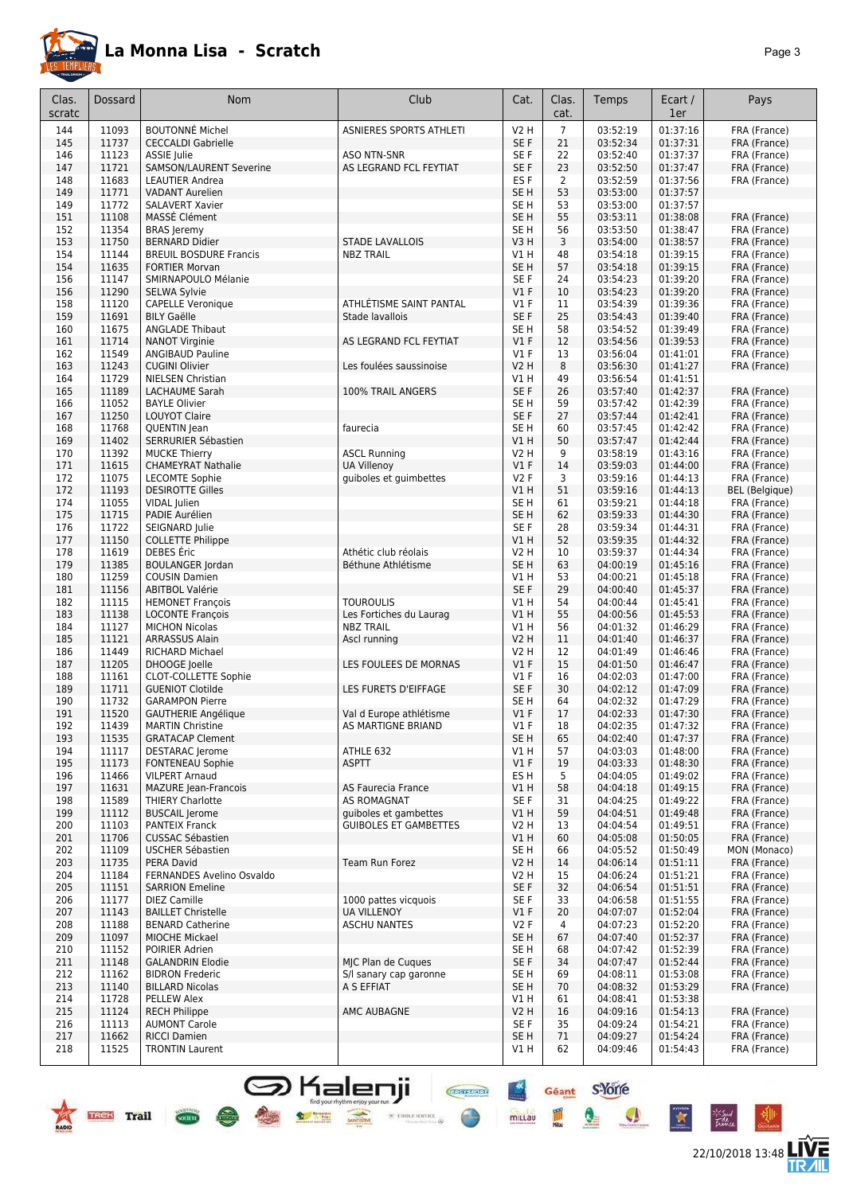

22/10/2018 13:48 **LIVE** 

Géant S-Yorre

Q

鳳

 $\bullet$ 

 $\star$ 

 $-6$ 

 $\frac{1}{2}$ 

mittau

**Chefflord** 

 $\text{ 9.471} \times \text{ 10.53} \times \text{ 10.53} \times \text{ 10.53} \times \text{ 10.53} \times \text{ 10.53} \times \text{ 10.53} \times \text{ 10.53} \times \text{ 10.53} \times \text{ 10.53} \times \text{ 10.53} \times \text{ 10.53} \times \text{ 10.53} \times \text{ 10.53} \times \text{ 10.53} \times \text{ 10.53} \times \text{ 10.53} \times \text{ 10.53} \times \text{$ 

| Clas.<br>scratc | Dossard        | <b>Nom</b>                                             | Club                                                  | Cat.            | Clas.<br>cat.  | Temps                | Ecart /<br>1er       | Pays                         |
|-----------------|----------------|--------------------------------------------------------|-------------------------------------------------------|-----------------|----------------|----------------------|----------------------|------------------------------|
|                 |                |                                                        |                                                       |                 |                |                      |                      |                              |
| 144             | 11093          | <b>BOUTONNÉ Michel</b>                                 | ASNIERES SPORTS ATHLETI                               | V2 H            | $\overline{7}$ | 03:52:19             | 01:37:16             | FRA (France)                 |
| 145<br>146      | 11737<br>11123 | <b>CECCALDI Gabrielle</b><br><b>ASSIE Julie</b>        | <b>ASO NTN-SNR</b>                                    | SE F<br>SE F    | 21<br>22       | 03:52:34<br>03:52:40 | 01:37:31<br>01:37:37 | FRA (France)<br>FRA (France) |
| 147             | 11721          | SAMSON/LAURENT Severine                                | AS LEGRAND FCL FEYTIAT                                | SE F            | 23             | 03:52:50             | 01:37:47             | FRA (France)                 |
| 148             | 11683          | <b>LEAUTIER Andrea</b>                                 |                                                       | ES <sub>F</sub> | 2              | 03:52:59             | 01:37:56             | FRA (France)                 |
| 149             | 11771          | <b>VADANT Aurelien</b>                                 |                                                       | SE <sub>H</sub> | 53             | 03:53:00             | 01:37:57             |                              |
| 149             | 11772          | <b>SALAVERT Xavier</b>                                 |                                                       | SE H            | 53             | 03:53:00             | 01:37:57             |                              |
| 151             | 11108          | MASSE Clément                                          |                                                       | SE <sub>H</sub> | 55             | 03:53:11             | 01:38:08             | FRA (France)                 |
| 152             | 11354          | <b>BRAS</b> Jeremy                                     |                                                       | SE H            | 56             | 03:53:50             | 01:38:47             | FRA (France)                 |
| 153             | 11750          | <b>BERNARD Didier</b>                                  | <b>STADE LAVALLOIS</b>                                | V3H             | 3              | 03:54:00             | 01:38:57             | FRA (France)                 |
| 154<br>154      | 11144<br>11635 | <b>BREUIL BOSDURE Francis</b><br><b>FORTIER Morvan</b> | <b>NBZ TRAIL</b>                                      | V1 H<br>SE H    | 48<br>57       | 03:54:18<br>03:54:18 | 01:39:15<br>01:39:15 | FRA (France)<br>FRA (France) |
| 156             | 11147          | SMIRNAPOULO Mélanie                                    |                                                       | SE F            | 24             | 03:54:23             | 01:39:20             | FRA (France)                 |
| 156             | 11290          | SELWA Sylvie                                           |                                                       | $VI$ F          | 10             | 03:54:23             | 01:39:20             | FRA (France)                 |
| 158             | 11120          | <b>CAPELLE Veronique</b>                               | ATHLÉTISME SAINT PANTAL                               | $VI$ F          | 11             | 03:54:39             | 01:39:36             | FRA (France)                 |
| 159             | 11691          | <b>BILY Gaëlle</b>                                     | Stade lavallois                                       | SE F            | 25             | 03:54:43             | 01:39:40             | FRA (France)                 |
| 160             | 11675          | <b>ANGLADE Thibaut</b>                                 |                                                       | SE H            | 58             | 03:54:52             | 01:39:49             | FRA (France)                 |
| 161             | 11714          | <b>NANOT Virginie</b>                                  | AS LEGRAND FCL FEYTIAT                                | $VI$ F          | 12             | 03:54:56             | 01:39:53             | FRA (France)                 |
| 162<br>163      | 11549<br>11243 | <b>ANGIBAUD Pauline</b><br><b>CUGINI Olivier</b>       | Les foulées saussinoise                               | $VI$ F<br>V2 H  | 13<br>8        | 03:56:04<br>03:56:30 | 01:41:01<br>01:41:27 | FRA (France)<br>FRA (France) |
| 164             | 11729          | <b>NIELSEN Christian</b>                               |                                                       | V1 H            | 49             | 03:56:54             | 01:41:51             |                              |
| 165             | 11189          | LACHAUME Sarah                                         | 100% TRAIL ANGERS                                     | SE F            | 26             | 03:57:40             | 01:42:37             | FRA (France)                 |
| 166             | 11052          | <b>BAYLE Olivier</b>                                   |                                                       | SE H            | 59             | 03:57:42             | 01:42:39             | FRA (France)                 |
| 167             | 11250          | <b>LOUYOT Claire</b>                                   |                                                       | SE F            | 27             | 03:57:44             | 01:42:41             | FRA (France)                 |
| 168             | 11768          | QUENTIN Jean                                           | faurecia                                              | SE H            | 60             | 03:57:45             | 01:42:42             | FRA (France)                 |
| 169<br>170      | 11402<br>11392 | SERRURIER Sébastien<br><b>MUCKE Thierry</b>            | <b>ASCL Running</b>                                   | V1 H<br>V2 H    | 50<br>9        | 03:57:47<br>03:58:19 | 01:42:44<br>01:43:16 | FRA (France)<br>FRA (France) |
| 171             | 11615          | <b>CHAMEYRAT Nathalie</b>                              | <b>UA Villenov</b>                                    | $VI$ F          | 14             | 03:59:03             | 01:44:00             | FRA (France)                 |
| 172             | 11075          | <b>LECOMTE Sophie</b>                                  | quiboles et guimbettes                                | <b>V2F</b>      | 3              | 03:59:16             | 01:44:13             | FRA (France)                 |
| 172             | 11193          | <b>DESIROTTE Gilles</b>                                |                                                       | V1 H            | 51             | 03:59:16             | 01:44:13             | <b>BEL</b> (Belgique)        |
| 174             | 11055          | VIDAL Julien                                           |                                                       | SE H            | 61             | 03:59:21             | 01:44:18             | FRA (France)                 |
| 175             | 11715          | PADIE Aurélien                                         |                                                       | SE <sub>H</sub> | 62             | 03:59:33             | 01:44:30             | FRA (France)                 |
| 176             | 11722          | SEIGNARD Julie                                         |                                                       | SE <sub>F</sub> | 28             | 03:59:34             | 01:44:31             | FRA (France)                 |
| 177<br>178      | 11150<br>11619 | <b>COLLETTE Philippe</b><br>DEBES Eric                 | Athétic club réolais                                  | V1 H<br>V2 H    | 52<br>10       | 03:59:35<br>03:59:37 | 01:44:32<br>01:44:34 | FRA (France)<br>FRA (France) |
| 179             | 11385          | <b>BOULANGER Jordan</b>                                | Béthune Athlétisme                                    | SE <sub>H</sub> | 63             | 04:00:19             | 01:45:16             | FRA (France)                 |
| 180             | 11259          | <b>COUSIN Damien</b>                                   |                                                       | V1 H            | 53             | 04:00:21             | 01:45:18             | FRA (France)                 |
| 181             | 11156          | <b>ABITBOL Valérie</b>                                 |                                                       | SE F            | 29             | 04:00:40             | 01:45:37             | FRA (France)                 |
| 182             | 11115          | <b>HEMONET François</b>                                | <b>TOUROULIS</b>                                      | V1 H            | 54             | 04:00:44             | 01:45:41             | FRA (France)                 |
| 183             | 11138          | <b>LOCONTE François</b>                                | Les Fortiches du Laurag                               | V1 H            | 55             | 04:00:56             | 01:45:53             | FRA (France)                 |
| 184<br>185      | 11127<br>11121 | <b>MICHON Nicolas</b><br><b>ARRASSUS Alain</b>         | <b>NBZ TRAIL</b><br>Ascl running                      | V1 H<br>V2 H    | 56<br>11       | 04:01:32<br>04:01:40 | 01:46:29<br>01:46:37 | FRA (France)<br>FRA (France) |
| 186             | 11449          | RICHARD Michael                                        |                                                       | V2 H            | 12             | 04:01:49             | 01:46:46             | FRA (France)                 |
| 187             | 11205          | DHOOGE Joelle                                          | LES FOULEES DE MORNAS                                 | $VI$ F          | 15             | 04:01:50             | 01:46:47             | FRA (France)                 |
| 188             | 11161          | CLOT-COLLETTE Sophie                                   |                                                       | V1F             | 16             | 04:02:03             | 01:47:00             | FRA (France)                 |
| 189             | 11711          | <b>GUENIOT Clotilde</b>                                | LES FURETS D'EIFFAGE                                  | SE F            | 30             | 04:02:12             | 01:47:09             | FRA (France)                 |
| 190             | 11732          | <b>GARAMPON Pierre</b>                                 |                                                       | SE H            | 64             | 04:02:32             | 01:47:29             | FRA (France)                 |
| 191<br>192      | 11520<br>11439 | <b>GAUTHERIE Angélique</b><br><b>MARTIN Christine</b>  | Val d Europe athlétisme<br>AS MARTIGNE BRIAND         | $VI$ F<br>V1F   | 17<br>18       | 04:02:33<br>04:02:35 | 01:47:30<br>01:47:32 | FRA (France)<br>FRA (France) |
| 193             | 11535          | <b>GRATACAP Clement</b>                                |                                                       | SE <sub>H</sub> | 65             | 04:02:40             | 01:47:37             | FRA (France)                 |
| 194             | 11117          | <b>DESTARAC</b> Jerome                                 | ATHLE 632                                             | VIH             | 57             | 04:03:03             | 01:48:00             | FRA (France)                 |
| 195             | 11173          | <b>FONTENEAU Sophie</b>                                | <b>ASPTT</b>                                          | $VI$ F          | 19             | 04:03:33             | 01:48:30             | FRA (France)                 |
| 196             | 11466          | <b>VILPERT Arnaud</b>                                  |                                                       | ES H            | 5              | 04:04:05             | 01:49:02             | FRA (France)                 |
| 197             | 11631          | <b>MAZURE Jean-Francois</b>                            | AS Faurecia France                                    | V1 H            | 58             | 04:04:18             | 01:49:15             | FRA (France)                 |
| 198             | 11589          | <b>THIERY Charlotte</b>                                | <b>AS ROMAGNAT</b>                                    | SE F            | 31             | 04:04:25             | 01:49:22             | FRA (France)                 |
| 199<br>200      | 11112<br>11103 | <b>BUSCAIL Jerome</b><br><b>PANTEIX Franck</b>         | quiboles et gambettes<br><b>GUIBOLES ET GAMBETTES</b> | V1 H<br>V2 H    | 59<br>13       | 04:04:51<br>04:04:54 | 01:49:48<br>01:49:51 | FRA (France)<br>FRA (France) |
| 201             | 11706          | <b>CUSSAC Sébastien</b>                                |                                                       | V1 H            | 60             | 04:05:08             | 01:50:05             | FRA (France)                 |
| 202             | 11109          | USCHER Sébastien                                       |                                                       | SE H            | 66             | 04:05:52             | 01:50:49             | MON (Monaco)                 |
| 203             | 11735          | PERA David                                             | Team Run Forez                                        | V2 H            | 14             | 04:06:14             | 01:51:11             | FRA (France)                 |
| 204             | 11184          | FERNANDES Avelino Osvaldo                              |                                                       | V2 H            | 15             | 04:06:24             | 01:51:21             | FRA (France)                 |
| 205             | 11151          | <b>SARRION Emeline</b>                                 |                                                       | SE F            | 32             | 04:06:54             | 01:51:51             | FRA (France)                 |
| 206             | 11177          | <b>DIEZ Camille</b>                                    | 1000 pattes vicquois                                  | SE F            | 33             | 04:06:58             | 01:51:55<br>01:52:04 | FRA (France)                 |
| 207<br>208      | 11143<br>11188 | <b>BAILLET Christelle</b><br><b>BENARD Catherine</b>   | <b>UA VILLENOY</b><br><b>ASCHU NANTES</b>             | $VI$ F<br>V2F   | 20<br>4        | 04:07:07<br>04:07:23 | 01:52:20             | FRA (France)<br>FRA (France) |
| 209             | 11097          | <b>MIOCHE Mickael</b>                                  |                                                       | SE H            | 67             | 04:07:40             | 01:52:37             | FRA (France)                 |
| 210             | 11152          | POIRIER Adrien                                         |                                                       | SE H            | 68             | 04:07:42             | 01:52:39             | FRA (France)                 |
| 211             | 11148          | <b>GALANDRIN Elodie</b>                                | MIC Plan de Cugues                                    | SE F            | 34             | 04:07:47             | 01:52:44             | FRA (France)                 |
| 212             | 11162          | <b>BIDRON Frederic</b>                                 | S/I sanary cap garonne                                | SE H            | 69             | 04:08:11             | 01:53:08             | FRA (France)                 |
| 213             | 11140          | <b>BILLARD Nicolas</b>                                 | A S EFFIAT                                            | SE H            | 70             | 04:08:32             | 01:53:29             | FRA (France)                 |
| 214<br>215      | 11728<br>11124 | PELLEW Alex<br><b>RECH Philippe</b>                    | AMC AUBAGNE                                           | VIH<br>V2 H     | 61<br>16       | 04:08:41<br>04:09:16 | 01:53:38<br>01:54:13 | FRA (France)                 |
| 216             | 11113          | <b>AUMONT Carole</b>                                   |                                                       | SE F            | 35             | 04:09:24             | 01:54:21             | FRA (France)                 |
| 217             | 11662          | <b>RICCI Damien</b>                                    |                                                       | SE H            | 71             | 04:09:27             | 01:54:24             | FRA (France)                 |
| 218             | 11525          | <b>TRONTIN Laurent</b>                                 |                                                       | V1 H            | 62             | 04:09:46             | 01:54:43             | FRA (France)                 |

**S** Kalenji

 $\bullet$  set

**TREE** Trail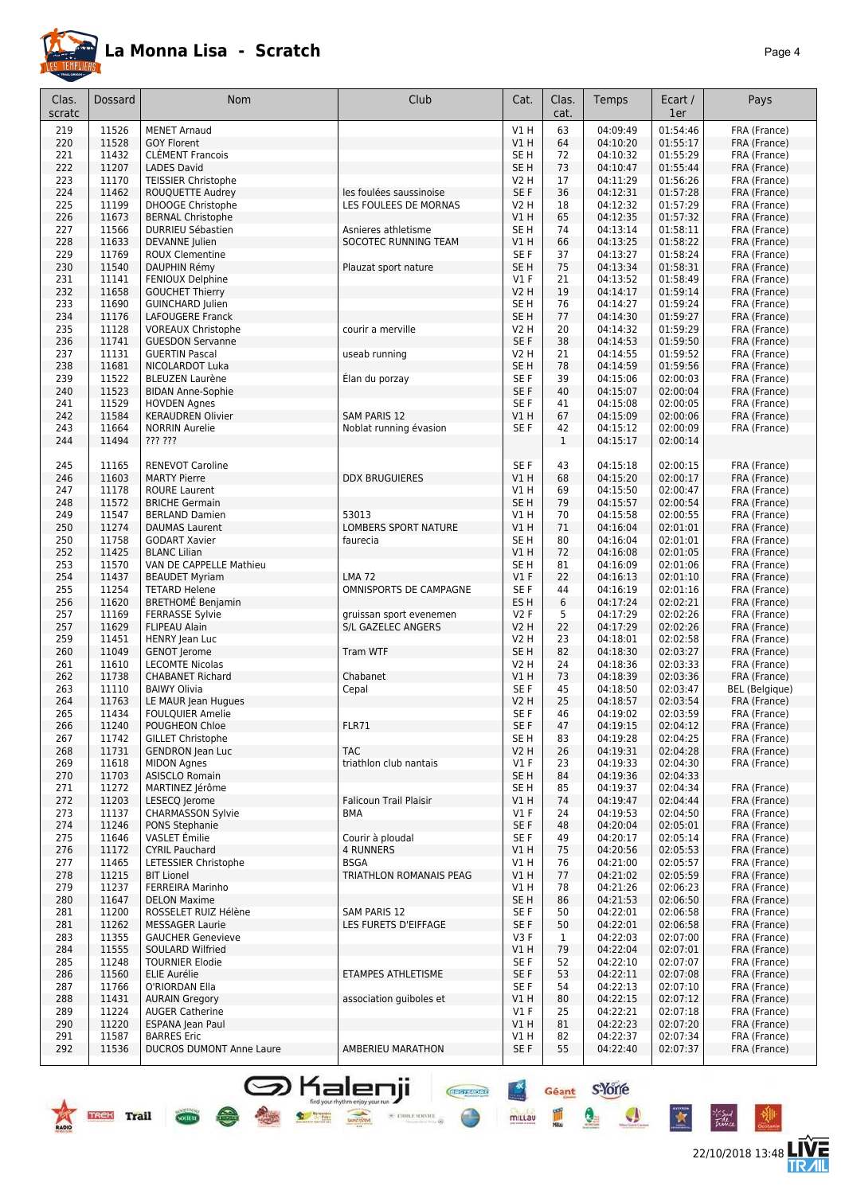

22/10/2018 13:48 **LIVE** 

Géant S-Yorre

Q

I

 $\bullet$ 

 $\star$ 

Cher Long

 $\%$  error examer $\omega$ 

 $\rightarrow$ 

millau

| Clas.<br>scratc | Dossard        | <b>Nom</b>                                         | Club                                             | Cat.                  | Clas.<br>cat. | Temps                | Ecart /<br>1er       | Pays                         |
|-----------------|----------------|----------------------------------------------------|--------------------------------------------------|-----------------------|---------------|----------------------|----------------------|------------------------------|
| 219             | 11526          | <b>MENET Arnaud</b>                                |                                                  | V1 H                  | 63            | 04:09:49             | 01:54:46             | FRA (France)                 |
| 220             | 11528          | <b>GOY Florent</b>                                 |                                                  | VIH                   | 64            | 04:10:20             | 01:55:17             | FRA (France)                 |
| 221             | 11432          | <b>CLÉMENT Francois</b>                            |                                                  | SE H                  | 72            | 04:10:32             | 01:55:29             | FRA (France)                 |
| 222             | 11207          | <b>LADES David</b>                                 |                                                  | SE <sub>H</sub>       | 73            | 04:10:47             | 01:55:44             | FRA (France)                 |
| 223             | 11170          | <b>TEISSIER Christophe</b>                         |                                                  | <b>V2 H</b>           | 17            | 04:11:29             | 01:56:26             | FRA (France)                 |
| 224<br>225      | 11462<br>11199 | ROUQUETTE Audrey<br>DHOOGE Christophe              | les foulées saussinoise<br>LES FOULEES DE MORNAS | SE F<br>V2 H          | 36<br>18      | 04:12:31<br>04:12:32 | 01:57:28<br>01:57:29 | FRA (France)<br>FRA (France) |
| 226             | 11673          | <b>BERNAL Christophe</b>                           |                                                  | V1H                   | 65            | 04:12:35             | 01:57:32             | FRA (France)                 |
| 227             | 11566          | DURRIEU Sébastien                                  | Asnieres athletisme                              | SE H                  | 74            | 04:13:14             | 01:58:11             | FRA (France)                 |
| 228             | 11633          | <b>DEVANNE</b> Julien                              | SOCOTEC RUNNING TEAM                             | V1 H                  | 66            | 04:13:25             | 01:58:22             | FRA (France)                 |
| 229             | 11769          | <b>ROUX Clementine</b>                             |                                                  | SE F                  | 37            | 04:13:27             | 01:58:24             | FRA (France)                 |
| 230             | 11540          | DAUPHIN Rémy                                       | Plauzat sport nature                             | SE H                  | 75            | 04:13:34             | 01:58:31             | FRA (France)                 |
| 231             | 11141          | FENIOUX Delphine                                   |                                                  | $VI$ F                | 21            | 04:13:52             | 01:58:49             | FRA (France)                 |
| 232             | 11658          | <b>GOUCHET Thierry</b>                             |                                                  | <b>V2 H</b>           | 19            | 04:14:17             | 01:59:14             | FRA (France)                 |
| 233             | 11690          | <b>GUINCHARD Julien</b>                            |                                                  | SE H                  | 76            | 04:14:27             | 01:59:24             | FRA (France)                 |
| 234             | 11176          | LAFOUGERE Franck                                   |                                                  | SE <sub>H</sub>       | 77            | 04:14:30             | 01:59:27             | FRA (France)                 |
| 235             | 11128          | <b>VOREAUX Christophe</b>                          | courir a merville                                | <b>V2 H</b>           | 20            | 04:14:32             | 01:59:29             | FRA (France)                 |
| 236<br>237      | 11741<br>11131 | <b>GUESDON Servanne</b><br><b>GUERTIN Pascal</b>   |                                                  | SE F<br>V2 H          | 38<br>21      | 04:14:53<br>04:14:55 | 01:59:50<br>01:59:52 | FRA (France)                 |
| 238             | 11681          | NICOLARDOT Luka                                    | useab running                                    | SE H                  | 78            | 04:14:59             | 01:59:56             | FRA (France)<br>FRA (France) |
| 239             | 11522          | <b>BLEUZEN Laurène</b>                             | Élan du porzay                                   | SE F                  | 39            | 04:15:06             | 02:00:03             | FRA (France)                 |
| 240             | 11523          | <b>BIDAN Anne-Sophie</b>                           |                                                  | SE F                  | 40            | 04:15:07             | 02:00:04             | FRA (France)                 |
| 241             | 11529          | <b>HOVDEN Agnes</b>                                |                                                  | SE F                  | 41            | 04:15:08             | 02:00:05             | FRA (France)                 |
| 242             | 11584          | <b>KERAUDREN Olivier</b>                           | <b>SAM PARIS 12</b>                              | VIH                   | 67            | 04:15:09             | 02:00:06             | FRA (France)                 |
| 243             | 11664          | <b>NORRIN Aurelie</b>                              | Noblat running évasion                           | SE F                  | 42            | 04:15:12             | 02:00:09             | FRA (France)                 |
| 244             | 11494          | ??? ???                                            |                                                  |                       | $\mathbf{1}$  | 04:15:17             | 02:00:14             |                              |
| 245             | 11165          | <b>RENEVOT Caroline</b>                            |                                                  | SE <sub>F</sub>       | 43            | 04:15:18             | 02:00:15             | FRA (France)                 |
| 246             | 11603          | <b>MARTY Pierre</b>                                | <b>DDX BRUGUIERES</b>                            | V1 H                  | 68            | 04:15:20             | 02:00:17             | FRA (France)                 |
| 247             | 11178          | <b>ROURE Laurent</b>                               |                                                  | V1 H                  | 69            | 04:15:50             | 02:00:47             | FRA (France)                 |
| 248             | 11572          | <b>BRICHE Germain</b>                              |                                                  | SE <sub>H</sub>       | 79            | 04:15:57             | 02:00:54             | FRA (France)                 |
| 249             | 11547          | <b>BERLAND Damien</b>                              | 53013                                            | <b>V1 H</b>           | 70            | 04:15:58             | 02:00:55             | FRA (France)                 |
| 250             | 11274          | <b>DAUMAS Laurent</b>                              | LOMBERS SPORT NATURE                             | V1H                   | 71            | 04:16:04             | 02:01:01             | FRA (France)                 |
| 250             | 11758          | <b>GODART Xavier</b>                               | faurecia                                         | SE <sub>H</sub>       | 80            | 04:16:04             | 02:01:01             | FRA (France)                 |
| 252             | 11425          | <b>BLANC Lilian</b>                                |                                                  | V1 H                  | 72            | 04:16:08             | 02:01:05             | FRA (France)                 |
| 253             | 11570          | VAN DE CAPPELLE Mathieu                            |                                                  | SE H                  | 81            | 04:16:09             | 02:01:06             | FRA (France)                 |
| 254<br>255      | 11437<br>11254 | <b>BEAUDET Myriam</b><br><b>TETARD Helene</b>      | <b>LMA 72</b><br>OMNISPORTS DE CAMPAGNE          | $VI$ F<br>SE F        | 22<br>44      | 04:16:13             | 02:01:10<br>02:01:16 | FRA (France)                 |
| 256             | 11620          | <b>BRETHOMÉ Benjamin</b>                           |                                                  | ES <sub>H</sub>       | 6             | 04:16:19<br>04:17:24 | 02:02:21             | FRA (France)<br>FRA (France) |
| 257             | 11169          | <b>FERRASSE Sylvie</b>                             | gruissan sport evenemen                          | V2 F                  | 5             | 04:17:29             | 02:02:26             | FRA (France)                 |
| 257             | 11629          | <b>FLIPEAU Alain</b>                               | S/L GAZELEC ANGERS                               | V2 H                  | 22            | 04:17:29             | 02:02:26             | FRA (France)                 |
| 259             | 11451          | HENRY Jean Luc                                     |                                                  | <b>V2 H</b>           | 23            | 04:18:01             | 02:02:58             | FRA (France)                 |
| 260             | 11049          | <b>GENOT Jerome</b>                                | <b>Tram WTF</b>                                  | SE <sub>H</sub>       | 82            | 04:18:30             | 02:03:27             | FRA (France)                 |
| 261             | 11610          | <b>LECOMTE Nicolas</b>                             |                                                  | <b>V2 H</b>           | 24            | 04:18:36             | 02:03:33             | FRA (France)                 |
| 262             | 11738          | <b>CHABANET Richard</b>                            | Chabanet                                         | <b>V1 H</b>           | 73            | 04:18:39             | 02:03:36             | FRA (France)                 |
| 263             | 11110          | <b>BAIWY Olivia</b>                                | Cepal                                            | SE F                  | 45            | 04:18:50             | 02:03:47             | BEL (Belgique)               |
| 264             | 11763          | LE MAUR Jean Hugues                                |                                                  | V2 H                  | 25            | 04:18:57             | 02:03:54             | FRA (France)                 |
| 265             | 11434          | <b>FOULQUIER Amelie</b>                            |                                                  | SE F                  | 46            | 04:19:02             | 02:03:59             | FRA (France)                 |
| 266             | 11240          | POUGHEON Chloe                                     | FLR71                                            | SE F                  | 47            | 04:19:15             | 02:04:12             | FRA (France)                 |
| 267<br>268      | 11742          | <b>GILLET Christophe</b>                           | <b>TAC</b>                                       | SE <sub>H</sub>       | 83<br>26      | 04:19:28<br>04:19:31 | 02:04:25<br>02:04:28 | FRA (France)                 |
| 269             | 11731<br>11618 | <b>GENDRON</b> Jean Luc<br><b>MIDON Agnes</b>      | triathlon club nantais                           | <b>V2 H</b><br>$VI$ F | 23            | 04:19:33             | 02:04:30             | FRA (France)<br>FRA (France) |
| 270             | 11703          | <b>ASISCLO Romain</b>                              |                                                  | SE <sub>H</sub>       | 84            | 04:19:36             | 02:04:33             |                              |
| 271             | 11272          | MARTINEZ Jérôme                                    |                                                  | SE H                  | 85            | 04:19:37             | 02:04:34             | FRA (France)                 |
| 272             | 11203          | LESECQ Jerome                                      | <b>Falicoun Trail Plaisir</b>                    | V1H                   | 74            | 04:19:47             | 02:04:44             | FRA (France)                 |
| 273             | 11137          | <b>CHARMASSON Sylvie</b>                           | <b>BMA</b>                                       | $VI$ F                | 24            | 04:19:53             | 02:04:50             | FRA (France)                 |
| 274             | 11246          | PONS Stephanie                                     |                                                  | SE F                  | 48            | 04:20:04             | 02:05:01             | FRA (France)                 |
| 275             | 11646          | VASLET Émilie                                      | Courir à ploudal                                 | SE F                  | 49            | 04:20:17             | 02:05:14             | FRA (France)                 |
| 276             | 11172          | <b>CYRIL Pauchard</b>                              | <b>4 RUNNERS</b>                                 | V1 H                  | 75            | 04:20:56             | 02:05:53             | FRA (France)                 |
| 277             | 11465          | LETESSIER Christophe                               | <b>BSGA</b>                                      | V1 H                  | 76            | 04:21:00             | 02:05:57             | FRA (France)                 |
| 278             | 11215          | <b>BIT Lionel</b>                                  | TRIATHLON ROMANAIS PEAG                          | V1 H                  | 77            | 04:21:02             | 02:05:59             | FRA (France)                 |
| 279             | 11237          | FERREIRA Marinho                                   |                                                  | V1 H                  | 78            | 04:21:26             | 02:06:23             | FRA (France)                 |
| 280             | 11647          | <b>DELON Maxime</b>                                |                                                  | SE H                  | 86            | 04:21:53             | 02:06:50             | FRA (France)                 |
| 281             | 11200<br>11262 | ROSSELET RUIZ Hélène                               | SAM PARIS 12                                     | SE F<br>SE F          | 50<br>50      | 04:22:01<br>04:22:01 | 02:06:58<br>02:06:58 | FRA (France)                 |
| 281<br>283      | 11355          | <b>MESSAGER Laurie</b><br><b>GAUCHER Genevieve</b> | LES FURETS D'EIFFAGE                             | V3F                   | $\mathbf{1}$  | 04:22:03             | 02:07:00             | FRA (France)<br>FRA (France) |
| 284             | 11555          | SOULARD Wilfried                                   |                                                  | V1 H                  | 79            | 04:22:04             | 02:07:01             | FRA (France)                 |
| 285             | 11248          | <b>TOURNIER Elodie</b>                             |                                                  | SE F                  | 52            | 04:22:10             | 02:07:07             | FRA (France)                 |
| 286             | 11560          | ELIE Aurélie                                       | ETAMPES ATHLETISME                               | SE F                  | 53            | 04:22:11             | 02:07:08             | FRA (France)                 |
| 287             | 11766          | O'RIORDAN Ella                                     |                                                  | SE F                  | 54            | 04:22:13             | 02:07:10             | FRA (France)                 |
| 288             | 11431          | <b>AURAIN Gregory</b>                              | association quiboles et                          | VIH                   | 80            | 04:22:15             | 02:07:12             | FRA (France)                 |
| 289             | 11224          | <b>AUGER Catherine</b>                             |                                                  | $VI$ F                | 25            | 04:22:21             | 02:07:18             | FRA (France)                 |
| 290             | 11220          | ESPANA Jean Paul                                   |                                                  | V1H                   | 81            | 04:22:23             | 02:07:20             | FRA (France)                 |
| 291             | 11587          | <b>BARRES Eric</b>                                 |                                                  | V1 H                  | 82            | 04:22:37             | 02:07:34             | FRA (France)                 |
| 292             | 11536          | <b>DUCROS DUMONT Anne Laure</b>                    | AMBERIEU MARATHON                                | SE F                  | 55            | 04:22:40             | 02:07:37             | FRA (France)                 |
|                 |                |                                                    |                                                  |                       |               |                      |                      |                              |

**S** Kalenji

**Service** Water

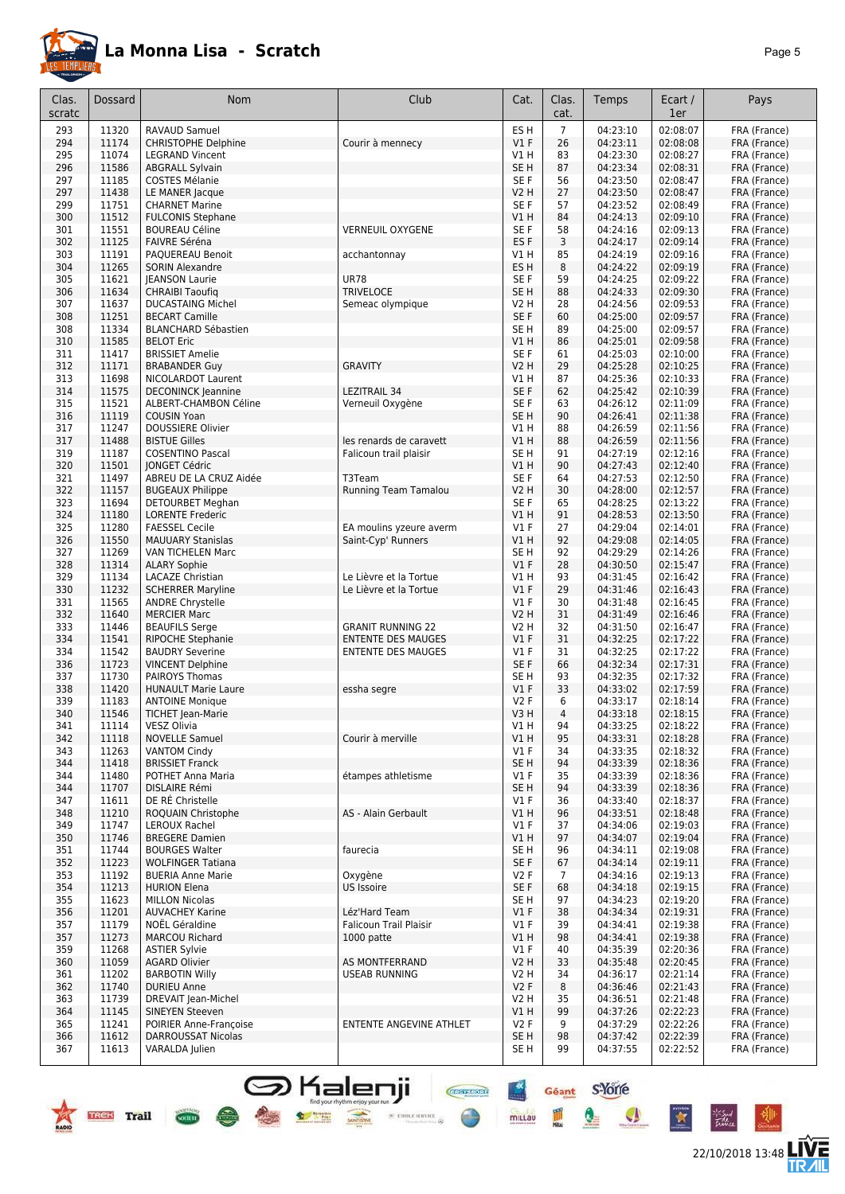

22/10/2018 13:48 **LIVE** 

Géant S-Yorre

 $\bullet$ 

 $\bullet$ 

 $\star$ 

 $-6$ 

**Chefflord** 

 $\frac{1}{\sqrt{2}}$  etoile service  $\frac{1}{\sqrt{2}}$ 

 $\frac{+x}{-x}$ 

mittau

皿

| Clas.      | Dossard        | <b>Nom</b>                                      | Club                      | Cat.                   | Clas.          | Temps                | Ecart /              | Pays                         |
|------------|----------------|-------------------------------------------------|---------------------------|------------------------|----------------|----------------------|----------------------|------------------------------|
| scratc     |                |                                                 |                           |                        | cat.           |                      | 1er                  |                              |
| 293        | 11320          | <b>RAVAUD Samuel</b>                            |                           | ES <sub>H</sub>        | $\overline{7}$ | 04:23:10             | 02:08:07             | FRA (France)                 |
| 294        | 11174          | <b>CHRISTOPHE Delphine</b>                      | Courir à mennecy          | V1F                    | 26             | 04:23:11             | 02:08:08             | FRA (France)                 |
| 295        | 11074          | <b>LEGRAND Vincent</b>                          |                           | V1 H                   | 83             | 04:23:30             | 02:08:27             | FRA (France)                 |
| 296        | 11586          | <b>ABGRALL Sylvain</b>                          |                           | SE <sub>H</sub>        | 87             | 04:23:34             | 02:08:31             | FRA (France)                 |
| 297        | 11185          | <b>COSTES Mélanie</b>                           |                           | SE F                   | 56             | 04:23:50             | 02:08:47             | FRA (France)                 |
| 297        | 11438          | LE MANER Jacque                                 |                           | V2 H                   | 27             | 04:23:50             | 02:08:47             | FRA (France)                 |
| 299        | 11751          | <b>CHARNET Marine</b>                           |                           | SE F                   | 57             | 04:23:52             | 02:08:49             | FRA (France)                 |
| 300        | 11512          | <b>FULCONIS Stephane</b>                        |                           | V1H                    | 84             | 04:24:13             | 02:09:10             | FRA (France)                 |
| 301        | 11551          | <b>BOUREAU Céline</b>                           | <b>VERNEUIL OXYGENE</b>   | SE F                   | 58             | 04:24:16             | 02:09:13             | FRA (France)                 |
| 302        | 11125          | FAIVRE Séréna                                   |                           | ES <sub>F</sub>        | 3              | 04:24:17             | 02:09:14             | FRA (France)                 |
| 303        | 11191          | PAQUEREAU Benoit                                | acchantonnay              | V1 H                   | 85             | 04:24:19             | 02:09:16             | FRA (France)                 |
| 304        | 11265          | <b>SORIN Alexandre</b>                          |                           | ES H                   | 8              | 04:24:22             | 02:09:19             | FRA (France)                 |
| 305        | 11621          | <b>IEANSON Laurie</b>                           | <b>UR78</b>               | SE F                   | 59             | 04:24:25             | 02:09:22             | FRA (France)                 |
| 306        | 11634          | <b>CHRAIBI Taoufiq</b>                          | <b>TRIVELOCE</b>          | SE H                   | 88             | 04:24:33             | 02:09:30             | FRA (France)                 |
| 307        | 11637          | <b>DUCASTAING Michel</b>                        | Semeac olympique          | V2 H                   | 28<br>60       | 04:24:56             | 02:09:53             | FRA (France)                 |
| 308<br>308 | 11251<br>11334 | <b>BECART Camille</b>                           |                           | SE F<br>SE H           | 89             | 04:25:00             | 02:09:57<br>02:09:57 | FRA (France)                 |
| 310        | 11585          | <b>BLANCHARD Sébastien</b><br><b>BELOT Eric</b> |                           | V1H                    | 86             | 04:25:00<br>04:25:01 | 02:09:58             | FRA (France)<br>FRA (France) |
| 311        | 11417          | <b>BRISSIET Amelie</b>                          |                           | SE <sub>F</sub>        | 61             | 04:25:03             | 02:10:00             | FRA (France)                 |
| 312        | 11171          | <b>BRABANDER Guy</b>                            | <b>GRAVITY</b>            | V2 H                   | 29             | 04:25:28             | 02:10:25             | FRA (France)                 |
| 313        | 11698          | NICOLARDOT Laurent                              |                           | V1 H                   | 87             | 04:25:36             | 02:10:33             | FRA (France)                 |
| 314        | 11575          | <b>DECONINCK Jeannine</b>                       | LEZITRAIL 34              | SE F                   | 62             | 04:25:42             | 02:10:39             | FRA (France)                 |
| 315        | 11521          | ALBERT-CHAMBON Céline                           | Verneuil Oxygène          | SE F                   | 63             | 04:26:12             | 02:11:09             | FRA (France)                 |
| 316        | 11119          | <b>COUSIN Yoan</b>                              |                           | SE <sub>H</sub>        | 90             | 04:26:41             | 02:11:38             | FRA (France)                 |
| 317        | 11247          | <b>DOUSSIERE Olivier</b>                        |                           | V1 H                   | 88             | 04:26:59             | 02:11:56             | FRA (France)                 |
| 317        | 11488          | <b>BISTUE Gilles</b>                            | les renards de caravett   | V1 H                   | 88             | 04:26:59             | 02:11:56             | FRA (France)                 |
| 319        | 11187          | <b>COSENTINO Pascal</b>                         | Falicoun trail plaisir    | SE H                   | 91             | 04:27:19             | 02:12:16             | FRA (France)                 |
| 320        | 11501          | <b>JONGET Cédric</b>                            |                           | V1 H                   | 90             | 04:27:43             | 02:12:40             | FRA (France)                 |
| 321        | 11497          | ABREU DE LA CRUZ Aidée                          | T3Team                    | SE F                   | 64             | 04:27:53             | 02:12:50             | FRA (France)                 |
| 322        | 11157          | <b>BUGEAUX Philippe</b>                         | Running Team Tamalou      | V2 H                   | 30             | 04:28:00             | 02:12:57             | FRA (France)                 |
| 323        | 11694          | <b>DETOURBET Meghan</b>                         |                           | SE F                   | 65             | 04:28:25             | 02:13:22             | FRA (France)                 |
| 324        | 11180          | <b>LORENTE Frederic</b>                         |                           | V1 H                   | 91             | 04:28:53             | 02:13:50             | FRA (France)                 |
| 325        | 11280          | <b>FAESSEL Cecile</b>                           | EA moulins yzeure averm   | $VI$ F                 | 27             | 04:29:04             | 02:14:01             | FRA (France)                 |
| 326        | 11550          | <b>MAUUARY Stanislas</b>                        | Saint-Cyp' Runners        | V1 H                   | 92             | 04:29:08             | 02:14:05             | FRA (France)                 |
| 327        | 11269          | VAN TICHELEN Marc                               |                           | SE <sub>H</sub>        | 92             | 04:29:29             | 02:14:26             | FRA (France)                 |
| 328        | 11314          | <b>ALARY Sophie</b>                             |                           | V1F                    | 28             | 04:30:50             | 02:15:47             | FRA (France)                 |
| 329        | 11134          | LACAZE Christian                                | Le Lièvre et la Tortue    | V1 H                   | 93             | 04:31:45             | 02:16:42             | FRA (France)                 |
| 330        | 11232          | <b>SCHERRER Maryline</b>                        | Le Lièvre et la Tortue    | $VI$ F                 | 29             | 04:31:46             | 02:16:43             | FRA (France)                 |
| 331        | 11565          | <b>ANDRE Chrystelle</b>                         |                           | $VI$ F                 | 30             | 04:31:48             | 02:16:45             | FRA (France)                 |
| 332        | 11640          | <b>MERCIER Marc</b>                             |                           | V2 H                   | 31             | 04:31:49             | 02:16:46             | FRA (France)                 |
| 333        | 11446          | <b>BEAUFILS Serge</b>                           | <b>GRANIT RUNNING 22</b>  | V2 H                   | 32             | 04:31:50             | 02:16:47             | FRA (France)                 |
| 334        | 11541          | <b>RIPOCHE Stephanie</b>                        | <b>ENTENTE DES MAUGES</b> | $VI$ F                 | 31             | 04:32:25             | 02:17:22             | FRA (France)                 |
| 334        | 11542          | <b>BAUDRY Severine</b>                          | <b>ENTENTE DES MAUGES</b> | $VI$ F                 | 31             | 04:32:25             | 02:17:22             | FRA (France)                 |
| 336        | 11723          | <b>VINCENT Delphine</b>                         |                           | SE F                   | 66             | 04:32:34             | 02:17:31             | FRA (France)                 |
| 337<br>338 | 11730<br>11420 | PAIROYS Thomas<br><b>HUNAULT Marie Laure</b>    |                           | SE H<br>$VI$ F         | 93<br>33       | 04:32:35<br>04:33:02 | 02:17:32<br>02:17:59 | FRA (France)<br>FRA (France) |
| 339        | 11183          | <b>ANTOINE Monique</b>                          | essha segre               | <b>V2F</b>             | 6              | 04:33:17             | 02:18:14             |                              |
| 340        | 11546          | TICHET Jean-Marie                               |                           | V3H                    | $\overline{4}$ | 04:33:18             | 02:18:15             | FRA (France)<br>FRA (France) |
| 341        | 11114          | VESZ Olivia                                     |                           | V1 H                   | 94             | 04:33:25             | 02:18:22             | FRA (France)                 |
| 342        | 11118          | <b>NOVELLE Samuel</b>                           | Courir à merville         | V1H                    | 95             | 04:33:31             | 02:18:28             | FRA (France)                 |
| 343        | 11263          | <b>VANTOM Cindy</b>                             |                           | $VI$ F                 | 34             | 04:33:35             | 02:18:32             | FRA (France)                 |
| 344        | 11418          | <b>BRISSIET Franck</b>                          |                           | SE H                   | 94             | 04:33:39             | 02:18:36             | FRA (France)                 |
| 344        | 11480          | POTHET Anna Maria                               | étampes athletisme        | $VI$ F                 | 35             | 04:33:39             | 02:18:36             | FRA (France)                 |
| 344        | 11707          | <b>DISLAIRE Rémi</b>                            |                           | SE H                   | 94             | 04:33:39             | 02:18:36             | FRA (France)                 |
| 347        | 11611          | DE RÉ Christelle                                |                           | $VI$ F                 | 36             | 04:33:40             | 02:18:37             | FRA (France)                 |
| 348        | 11210          | ROQUAIN Christophe                              | AS - Alain Gerbault       | V1 H                   | 96             | 04:33:51             | 02:18:48             | FRA (France)                 |
| 349        | 11747          | LEROUX Rachel                                   |                           | $VI$ F                 | 37             | 04:34:06             | 02:19:03             | FRA (France)                 |
| 350        | 11746          | <b>BREGERE Damien</b>                           |                           | V1 H                   | 97             | 04:34:07             | 02:19:04             | FRA (France)                 |
| 351        | 11744          | <b>BOURGES Walter</b>                           | faurecia                  | SE <sub>H</sub>        | 96             | 04:34:11             | 02:19:08             | FRA (France)                 |
| 352        | 11223          | <b>WOLFINGER Tatiana</b>                        |                           | SE F                   | 67             | 04:34:14             | 02:19:11             | FRA (France)                 |
| 353        | 11192          | <b>BUERIA Anne Marie</b>                        | Oxygène                   | V2F                    | $\overline{7}$ | 04:34:16             | 02:19:13             | FRA (France)                 |
| 354        | 11213          | <b>HURION Elena</b>                             | US Issoire                | SE F                   | 68             | 04:34:18             | 02:19:15             | FRA (France)                 |
| 355        | 11623          | <b>MILLON Nicolas</b>                           |                           | SE H                   | 97             | 04:34:23             | 02:19:20             | FRA (France)                 |
| 356        | 11201          | <b>AUVACHEY Karine</b>                          | Léz'Hard Team             | $VI$ F                 | 38             | 04:34:34             | 02:19:31             | FRA (France)                 |
| 357        | 11179          | NOËL Géraldine                                  | Falicoun Trail Plaisir    | $VI$ F                 | 39             | 04:34:41             | 02:19:38             | FRA (France)                 |
| 357        | 11273          | <b>MARCOU Richard</b>                           | 1000 patte                | V1 H                   | 98             | 04:34:41             | 02:19:38             | FRA (France)                 |
| 359        | 11268          | <b>ASTIER Sylvie</b>                            |                           | $VI$ F                 | 40             | 04:35:39             | 02:20:36             | FRA (France)                 |
| 360        | 11059          | <b>AGARD Olivier</b>                            | AS MONTFERRAND            | <b>V2 H</b>            | 33             | 04:35:48             | 02:20:45             | FRA (France)                 |
| 361        | 11202          | <b>BARBOTIN Willy</b>                           | <b>USEAB RUNNING</b>      | V2 H                   | 34             | 04:36:17             | 02:21:14             | FRA (France)                 |
| 362        | 11740          | <b>DURIEU Anne</b>                              |                           | V2F                    | 8              | 04:36:46             | 02:21:43             | FRA (France)                 |
| 363        | 11739          | DREVAIT Jean-Michel                             |                           | V2 H                   | 35             | 04:36:51             | 02:21:48             | FRA (France)                 |
| 364        | 11145          | SINEYEN Steeven                                 |                           | V1H                    | 99             | 04:37:26             | 02:22:23             | FRA (France)                 |
| 365<br>366 | 11241<br>11612 | POIRIER Anne-Françoise                          | ENTENTE ANGEVINE ATHLET   | V2F<br>SE <sub>H</sub> | 9<br>98        | 04:37:29<br>04:37:42 | 02:22:26<br>02:22:39 | FRA (France)                 |
|            |                | <b>DARROUSSAT Nicolas</b>                       |                           |                        | 99             | 04:37:55             | 02:22:52             | FRA (France)                 |
| 367        | 11613          | VARALDA Julien                                  |                           | SE H                   |                |                      |                      | FRA (France)                 |

**S** Kalenji

全家堂

**TREE** Trail

 $\frac{1}{\sqrt{2}}$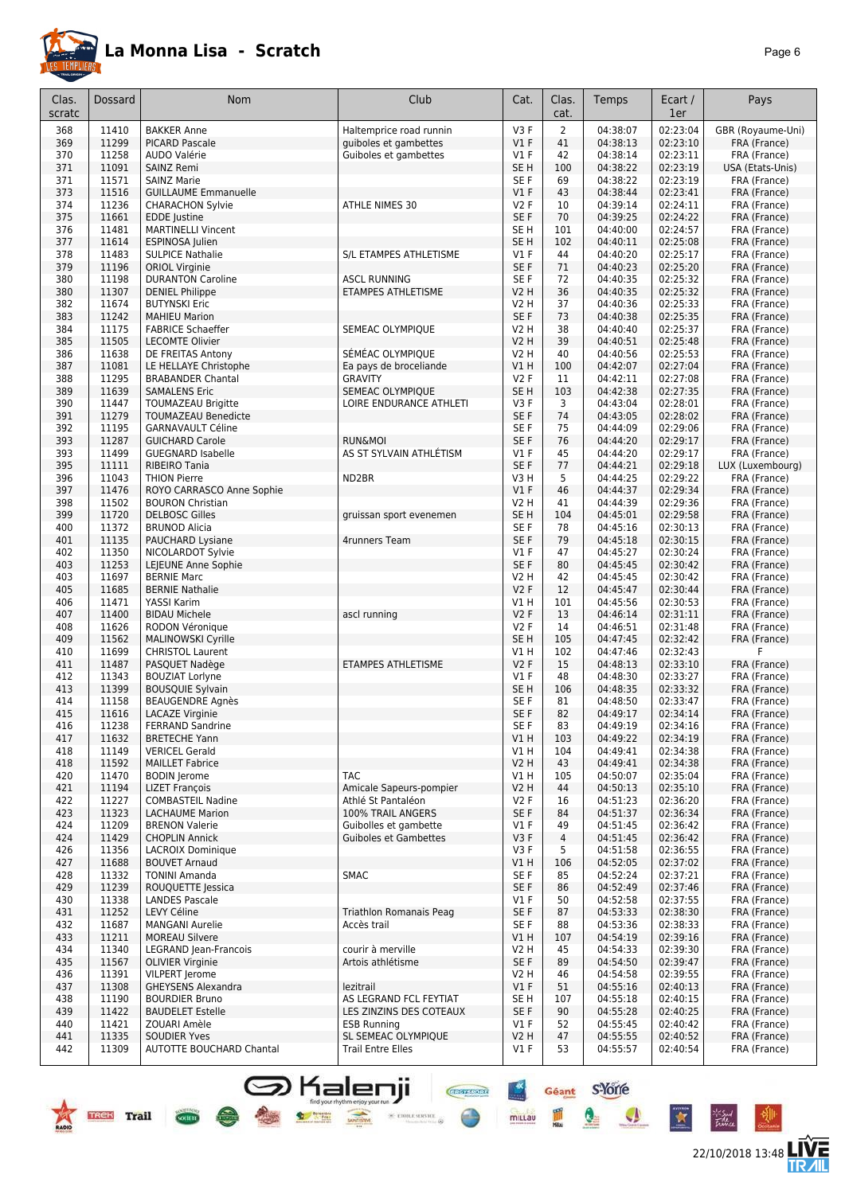

|--|--|

| Clas.<br>scratc | Dossard        | Nom                                                | Club                                      | Cat.                    | Clas.<br>cat.  | Temps                | Ecart /<br>1er       | Pays                         |
|-----------------|----------------|----------------------------------------------------|-------------------------------------------|-------------------------|----------------|----------------------|----------------------|------------------------------|
| 368             | 11410          | <b>BAKKER Anne</b>                                 | Haltemprice road runnin                   | V <sub>3</sub> F        | $\overline{2}$ | 04:38:07             | 02:23:04             | GBR (Royaume-Uni)            |
| 369             | 11299          | <b>PICARD Pascale</b>                              | guiboles et gambettes                     | V1F                     | 41             | 04:38:13             | 02:23:10             | FRA (France)                 |
| 370             | 11258          | AUDO Valérie                                       | Guiboles et gambettes                     | $VI$ F                  | 42             | 04:38:14             | 02:23:11             | FRA (France)                 |
| 371             | 11091          | <b>SAINZ Remi</b>                                  |                                           | SE <sub>H</sub>         | 100            | 04:38:22             | 02:23:19             | USA (Etats-Unis)             |
| 371             | 11571          | <b>SAINZ Marie</b>                                 |                                           | SE F                    | 69             | 04:38:22             | 02:23:19             | FRA (France)                 |
| 373             | 11516          | <b>GUILLAUME Emmanuelle</b>                        |                                           | $VI$ F                  | 43             | 04:38:44             | 02:23:41             | FRA (France)                 |
| 374<br>375      | 11236<br>11661 | <b>CHARACHON Sylvie</b><br>EDDE Justine            | ATHLE NIMES 30                            | <b>V2F</b><br>SE F      | 10<br>70       | 04:39:14<br>04:39:25 | 02:24:11<br>02:24:22 | FRA (France)<br>FRA (France) |
| 376             | 11481          | <b>MARTINELLI Vincent</b>                          |                                           | SE <sub>H</sub>         | 101            | 04:40:00             | 02:24:57             | FRA (France)                 |
| 377             | 11614          | ESPINOSA Julien                                    |                                           | SE <sub>H</sub>         | 102            | 04:40:11             | 02:25:08             | FRA (France)                 |
| 378             | 11483          | <b>SULPICE Nathalie</b>                            | S/L ETAMPES ATHLETISME                    | $VI$ F                  | 44             | 04:40:20             | 02:25:17             | FRA (France)                 |
| 379             | 11196          | <b>ORIOL Virginie</b>                              |                                           | SE F                    | 71             | 04:40:23             | 02:25:20             | FRA (France)                 |
| 380             | 11198          | <b>DURANTON Caroline</b>                           | ASCL RUNNING                              | SE <sub>F</sub>         | 72             | 04:40:35             | 02:25:32             | FRA (France)                 |
| 380             | 11307          | <b>DENIEL Philippe</b>                             | ETAMPES ATHLETISME                        | <b>V2 H</b>             | 36             | 04:40:35             | 02:25:32             | FRA (France)                 |
| 382             | 11674          | <b>BUTYNSKI Eric</b>                               |                                           | V2 H                    | 37             | 04:40:36             | 02:25:33             | FRA (France)                 |
| 383             | 11242          | <b>MAHIEU Marion</b>                               |                                           | SE F                    | 73             | 04:40:38             | 02:25:35             | FRA (France)                 |
| 384             | 11175          | <b>FABRICE Schaeffer</b>                           | SEMEAC OLYMPIQUE                          | V2 H                    | 38             | 04:40:40             | 02:25:37             | FRA (France)                 |
| 385             | 11505          | <b>LECOMTE Olivier</b>                             |                                           | V2 H                    | 39             | 04:40:51             | 02:25:48             | FRA (France)                 |
| 386<br>387      | 11638<br>11081 | DE FREITAS Antony                                  | SÉMÉAC OLYMPIQUE                          | V2 H<br>V1 H            | 40<br>100      | 04:40:56             | 02:25:53<br>02:27:04 | FRA (France)<br>FRA (France) |
| 388             | 11295          | LE HELLAYE Christophe<br><b>BRABANDER Chantal</b>  | Ea pays de broceliande<br><b>GRAVITY</b>  | <b>V2F</b>              | 11             | 04:42:07<br>04:42:11 | 02:27:08             | FRA (France)                 |
| 389             | 11639          | <b>SAMALENS Eric</b>                               | SEMEAC OLYMPIQUE                          | SE <sub>H</sub>         | 103            | 04:42:38             | 02:27:35             | FRA (France)                 |
| 390             | 11447          | <b>TOUMAZEAU Brigitte</b>                          | LOIRE ENDURANCE ATHLETI                   | V3F                     | 3              | 04:43:04             | 02:28:01             | FRA (France)                 |
| 391             | 11279          | <b>TOUMAZEAU Benedicte</b>                         |                                           | SE F                    | 74             | 04:43:05             | 02:28:02             | FRA (France)                 |
| 392             | 11195          | <b>GARNAVAULT Céline</b>                           |                                           | SE <sub>F</sub>         | 75             | 04:44:09             | 02:29:06             | FRA (France)                 |
| 393             | 11287          | <b>GUICHARD Carole</b>                             | <b>RUN&amp;MOI</b>                        | SE F                    | 76             | 04:44:20             | 02:29:17             | FRA (France)                 |
| 393             | 11499          | <b>GUEGNARD Isabelle</b>                           | AS ST SYLVAIN ATHLÉTISM                   | $VI$ F                  | 45             | 04:44:20             | 02:29:17             | FRA (France)                 |
| 395             | 11111          | RIBEIRO Tania                                      |                                           | SE F                    | 77             | 04:44:21             | 02:29:18             | LUX (Luxembourg)             |
| 396             | 11043          | <b>THION Pierre</b>                                | ND2BR                                     | V3H                     | 5              | 04:44:25             | 02:29:22             | FRA (France)                 |
| 397             | 11476          | ROYO CARRASCO Anne Sophie                          |                                           | $VI$ F                  | 46             | 04:44:37             | 02:29:34             | FRA (France)                 |
| 398             | 11502          | <b>BOURON Christian</b>                            |                                           | V2 H                    | 41             | 04:44:39             | 02:29:36             | FRA (France)                 |
| 399             | 11720          | <b>DELBOSC Gilles</b>                              | gruissan sport evenemen                   | SE <sub>H</sub>         | 104            | 04:45:01             | 02:29:58             | FRA (France)                 |
| 400<br>401      | 11372<br>11135 | <b>BRUNOD Alicia</b><br>PAUCHARD Lysiane           |                                           | SE <sub>F</sub><br>SE F | 78<br>79       | 04:45:16<br>04:45:18 | 02:30:13<br>02:30:15 | FRA (France)<br>FRA (France) |
| 402             | 11350          | NICOLARDOT Sylvie                                  | 4runners Team                             | $VI$ F                  | 47             | 04:45:27             | 02:30:24             | FRA (France)                 |
| 403             | 11253          | LEJEUNE Anne Sophie                                |                                           | SE F                    | 80             | 04:45:45             | 02:30:42             | FRA (France)                 |
| 403             | 11697          | <b>BERNIE Marc</b>                                 |                                           | V2 H                    | 42             | 04:45:45             | 02:30:42             | FRA (France)                 |
| 405             | 11685          | <b>BERNIE Nathalie</b>                             |                                           | V2F                     | 12             | 04:45:47             | 02:30:44             | FRA (France)                 |
| 406             | 11471          | YASSI Karim                                        |                                           | V1 H                    | 101            | 04:45:56             | 02:30:53             | FRA (France)                 |
| 407             | 11400          | <b>BIDAU Michele</b>                               | ascl running                              | <b>V2F</b>              | 13             | 04:46:14             | 02:31:11             | FRA (France)                 |
| 408             | 11626          | RODON Véronique                                    |                                           | V2F                     | 14             | 04:46:51             | 02:31:48             | FRA (France)                 |
| 409             | 11562          | MALINOWSKI Cyrille                                 |                                           | SE <sub>H</sub>         | 105            | 04:47:45             | 02:32:42             | FRA (France)                 |
| 410             | 11699          | <b>CHRISTOL Laurent</b>                            |                                           | V1 H                    | 102            | 04:47:46             | 02:32:43             | F                            |
| 411             | 11487          | PASQUET Nadège                                     | ETAMPES ATHLETISME                        | V2F                     | 15             | 04:48:13             | 02:33:10             | FRA (France)                 |
| 412             | 11343          | <b>BOUZIAT Lorlyne</b>                             |                                           | $VI$ F                  | 48             | 04:48:30             | 02:33:27             | FRA (France)                 |
| 413<br>414      | 11399<br>11158 | <b>BOUSQUIE Sylvain</b><br><b>BEAUGENDRE Agnès</b> |                                           | SE <sub>H</sub><br>SE F | 106<br>81      | 04:48:35<br>04:48:50 | 02:33:32<br>02:33:47 | FRA (France)<br>FRA (France) |
| 415             | 11616          | <b>LACAZE Virginie</b>                             |                                           | SE F                    | 82             | 04:49:17             | 02:34:14             | FRA (France)                 |
| 416             | 11238          | FERRAND Sandrine                                   |                                           | SE F                    | 83             | 04:49:19             | 02:34:16             | FRA (France)                 |
| 417             | 11632          | <b>BRETECHE Yann</b>                               |                                           | V1H                     | 103            | 04:49:22             | 02:34:19             | FRA (France)                 |
| 418             | 11149          | <b>VERICEL Gerald</b>                              |                                           | V1 H                    | 104            | 04:49:41             | 02:34:38             | FRA (France)                 |
| 418             | 11592          | <b>MAILLET Fabrice</b>                             |                                           | V <sub>2</sub> H        | 43             | 04:49:41             | 02:34:38             | FRA (France)                 |
| 420             | 11470          | <b>BODIN</b> Jerome                                | <b>TAC</b>                                | V1 H                    | 105            | 04:50:07             | 02:35:04             | FRA (France)                 |
| 421             | 11194          | <b>LIZET François</b>                              | Amicale Sapeurs-pompier                   | <b>V2 H</b>             | 44             | 04:50:13             | 02:35:10             | FRA (France)                 |
| 422             | 11227          | <b>COMBASTEIL Nadine</b>                           | Athlé St Pantaléon                        | V2F                     | 16             | 04:51:23             | 02:36:20             | FRA (France)                 |
| 423             | 11323          | <b>LACHAUME Marion</b>                             | 100% TRAIL ANGERS                         | SE F                    | 84             | 04:51:37             | 02:36:34             | FRA (France)                 |
| 424             | 11209          | <b>BRENON Valerie</b>                              | Guibolles et gambette                     | $VI$ F                  | 49             | 04:51:45             | 02:36:42             | FRA (France)                 |
| 424             | 11429          | <b>CHOPLIN Annick</b>                              | <b>Guiboles et Gambettes</b>              | V3F                     | 4              | 04:51:45             | 02:36:42             | FRA (France)                 |
| 426             | 11356          | <b>LACROIX Dominique</b>                           |                                           | V3F                     | 5              | 04:51:58             | 02:36:55             | FRA (France)                 |
| 427<br>428      | 11688<br>11332 | <b>BOUVET Arnaud</b><br><b>TONINI Amanda</b>       | SMAC                                      | V1H<br>SE F             | 106<br>85      | 04:52:05<br>04:52:24 | 02:37:02<br>02:37:21 | FRA (France)<br>FRA (France) |
| 429             | 11239          | ROUQUETTE Jessica                                  |                                           | SE F                    | 86             | 04:52:49             | 02:37:46             | FRA (France)                 |
| 430             | 11338          | <b>LANDES Pascale</b>                              |                                           | $VI$ F                  | 50             | 04:52:58             | 02:37:55             | FRA (France)                 |
| 431             | 11252          | LEVY Céline                                        | Triathlon Romanais Peag                   | SE F                    | 87             | 04:53:33             | 02:38:30             | FRA (France)                 |
| 432             | 11687          | <b>MANGANI Aurelie</b>                             | Accès trail                               | SE F                    | 88             | 04:53:36             | 02:38:33             | FRA (France)                 |
| 433             | 11211          | <b>MOREAU Silvere</b>                              |                                           | V1 H                    | 107            | 04:54:19             | 02:39:16             | FRA (France)                 |
| 434             | 11340          | LEGRAND Jean-Francois                              | courir à merville                         | V2 H                    | 45             | 04:54:33             | 02:39:30             | FRA (France)                 |
| 435             | 11567          | <b>OLIVIER Virginie</b>                            | Artois athlétisme                         | SE F                    | 89             | 04:54:50             | 02:39:47             | FRA (France)                 |
| 436             | 11391          | VILPERT Jerome                                     |                                           | V2 H                    | 46             | 04:54:58             | 02:39:55             | FRA (France)                 |
| 437             | 11308          | <b>GHEYSENS Alexandra</b>                          | lezitrail                                 | $VI$ F                  | 51             | 04:55:16             | 02:40:13             | FRA (France)                 |
| 438             | 11190          | <b>BOURDIER Bruno</b>                              | AS LEGRAND FCL FEYTIAT                    | SE H                    | 107            | 04:55:18             | 02:40:15             | FRA (France)                 |
| 439             | 11422          | <b>BAUDELET Estelle</b>                            | LES ZINZINS DES COTEAUX                   | SE F                    | 90             | 04:55:28             | 02:40:25             | FRA (France)                 |
| 440<br>441      | 11421<br>11335 | ZOUARI Amèle<br><b>SOUDIER Yves</b>                | <b>ESB Running</b><br>SL SEMEAC OLYMPIQUE | $VI$ F<br><b>V2 H</b>   | 52<br>47       | 04:55:45<br>04:55:55 | 02:40:42<br>02:40:52 | FRA (France)<br>FRA (France) |
| 442             | 11309          | AUTOTTE BOUCHARD Chantal                           | <b>Trail Entre Elles</b>                  | $VI$ F                  | 53             | 04:55:57             | 02:40:54             | FRA (France)                 |
|                 |                |                                                    |                                           |                         |                |                      |                      |                              |

SHalenji **Geant** SYOTE



the family

 $\bullet$ 

 $\mathbf{X}$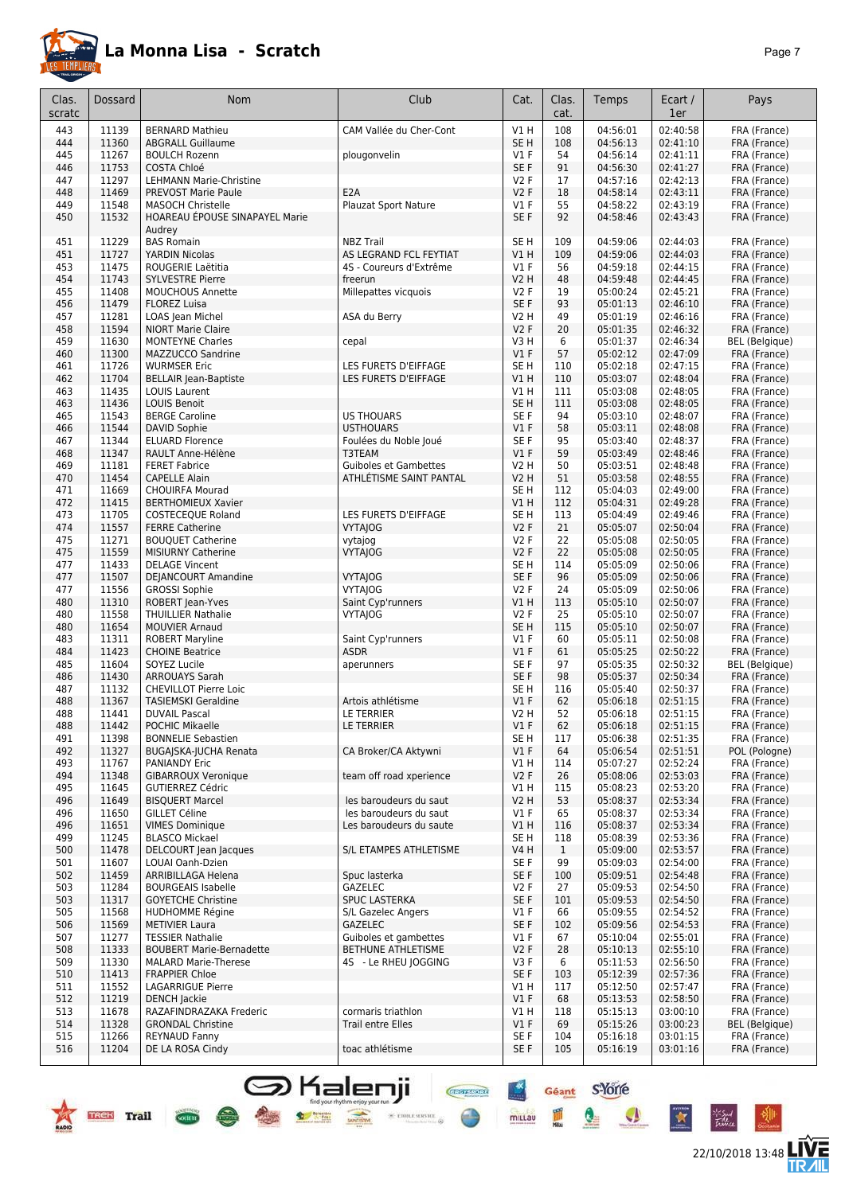

22/10/2018 13:48 **LIVE** 

Géant S'Yorre

 $\bullet$ 

 $\bullet$ 

 $\star$ 

 $-6$ 

圖

mittau

**CREATED DRY** 

| Clas.<br>scratc | <b>Dossard</b> | <b>Nom</b>                                            | Club                                      | Cat.            | Clas.<br>cat. | Temps                | Ecart /<br>1er       | Pays                         |
|-----------------|----------------|-------------------------------------------------------|-------------------------------------------|-----------------|---------------|----------------------|----------------------|------------------------------|
| 443             | 11139          | <b>BERNARD Mathieu</b>                                | CAM Vallée du Cher-Cont                   | $VI$ H          | 108           | 04:56:01             | 02:40:58             | FRA (France)                 |
| 444             | 11360          | <b>ABGRALL Guillaume</b>                              |                                           | SE <sub>H</sub> | 108           | 04:56:13             | 02:41:10             | FRA (France)                 |
| 445             | 11267          | <b>BOULCH Rozenn</b>                                  | plougonvelin                              | $VI$ F          | 54            | 04:56:14             | 02:41:11             | FRA (France)                 |
| 446             | 11753          | COSTA Chloé                                           |                                           | SE F            | 91            | 04:56:30             | 02:41:27             | FRA (France)                 |
| 447             | 11297          | <b>LEHMANN Marie-Christine</b>                        |                                           | <b>V2F</b>      | 17            | 04:57:16             | 02:42:13             | FRA (France)                 |
| 448             | 11469          | <b>PREVOST Marie Paule</b>                            | E <sub>2</sub> A                          | <b>V2F</b>      | 18            | 04:58:14             | 02:43:11             | FRA (France)                 |
| 449             | 11548          | <b>MASOCH Christelle</b>                              | Plauzat Sport Nature                      | $VI$ F          | 55            | 04:58:22             | 02:43:19             | FRA (France)                 |
| 450             | 11532          | HOAREAU EPOUSE SINAPAYEL Marie<br>Audrey              |                                           | SE F            | 92            | 04:58:46             | 02:43:43             | FRA (France)                 |
| 451             | 11229          | <b>BAS Romain</b>                                     | <b>NBZ Trail</b>                          | SE <sub>H</sub> | 109           | 04:59:06             | 02:44:03             | FRA (France)                 |
| 451             | 11727          | YARDIN Nicolas                                        | AS LEGRAND FCL FEYTIAT                    | VIH             | 109           | 04:59:06             | 02:44:03             | FRA (France)                 |
| 453             | 11475          | ROUGERIE Laëtitia                                     | 4S - Coureurs d'Extrême                   | $VI$ F          | 56            | 04:59:18             | 02:44:15             | FRA (France)                 |
| 454             | 11743          | <b>SYLVESTRE Pierre</b>                               | freerun                                   | <b>V2 H</b>     | 48            | 04:59:48             | 02:44:45             | FRA (France)                 |
| 455             | 11408          | <b>MOUCHOUS Annette</b>                               | Millepattes vicquois                      | <b>V2F</b>      | 19            | 05:00:24             | 02:45:21             | FRA (France)                 |
| 456             | 11479          | <b>FLOREZ Luisa</b>                                   |                                           | SE F            | 93            | 05:01:13             | 02:46:10             | FRA (France)                 |
| 457             | 11281          | LOAS Jean Michel                                      | ASA du Berry                              | V2 H            | 49            | 05:01:19             | 02:46:16             | FRA (France)                 |
| 458             | 11594          | <b>NIORT Marie Claire</b>                             |                                           | <b>V2F</b>      | 20            | 05:01:35             | 02:46:32             | FRA (France)                 |
| 459             | 11630          | <b>MONTEYNE Charles</b>                               | cepal                                     | V3 H            | 6             | 05:01:37             | 02:46:34             | <b>BEL</b> (Belgique)        |
| 460             | 11300          | MAZZUCCO Sandrine                                     |                                           | V1F             | 57            | 05:02:12             | 02:47:09             | FRA (France)                 |
| 461             | 11726          | <b>WURMSER Eric</b>                                   | LES FURETS D'EIFFAGE                      | SE H            | 110           | 05:02:18             | 02:47:15             | FRA (France)                 |
| 462             | 11704          | <b>BELLAIR Jean-Baptiste</b>                          | LES FURETS D'EIFFAGE                      | V1 H            | 110           | 05:03:07             | 02:48:04             | FRA (France)                 |
| 463             | 11435          | <b>LOUIS Laurent</b>                                  |                                           | V1 H            | 111           | 05:03:08             | 02:48:05             | FRA (France)                 |
| 463             | 11436          | <b>LOUIS Benoit</b>                                   |                                           | SE H            | 111           | 05:03:08             | 02:48:05             | FRA (France)                 |
| 465             | 11543<br>11544 | <b>BERGE Caroline</b><br><b>DAVID Sophie</b>          | <b>US THOUARS</b>                         | SE F<br>V1F     | 94<br>58      | 05:03:10             | 02:48:07             | FRA (France)                 |
| 466<br>467      | 11344          | <b>ELUARD Florence</b>                                | <b>USTHOUARS</b><br>Foulées du Noble Joué | SE F            | 95            | 05:03:11<br>05:03:40 | 02:48:08<br>02:48:37 | FRA (France)                 |
| 468             | 11347          | RAULT Anne-Hélène                                     | T3TEAM                                    | $VI$ F          | 59            | 05:03:49             | 02:48:46             | FRA (France)<br>FRA (France) |
| 469             | 11181          | <b>FERET Fabrice</b>                                  | <b>Guiboles et Gambettes</b>              | V2 H            | 50            | 05:03:51             | 02:48:48             | FRA (France)                 |
| 470             | 11454          | <b>CAPELLE Alain</b>                                  | ATHLÉTISME SAINT PANTAL                   | <b>V2 H</b>     | 51            | 05:03:58             | 02:48:55             | FRA (France)                 |
| 471             | 11669          | <b>CHOUIRFA Mourad</b>                                |                                           | SE <sub>H</sub> | 112           | 05:04:03             | 02:49:00             | FRA (France)                 |
| 472             | 11415          | <b>BERTHOMIEUX Xavier</b>                             |                                           | VIH             | 112           | 05:04:31             | 02:49:28             | FRA (France)                 |
| 473             | 11705          | <b>COSTECEQUE Roland</b>                              | LES FURETS D'EIFFAGE                      | SE H            | 113           | 05:04:49             | 02:49:46             | FRA (France)                 |
| 474             | 11557          | <b>FERRE Catherine</b>                                | <b>VYTAJOG</b>                            | V2F             | 21            | 05:05:07             | 02:50:04             | FRA (France)                 |
| 475             | 11271          | <b>BOUQUET Catherine</b>                              | vytajog                                   | <b>V2F</b>      | 22            | 05:05:08             | 02:50:05             | FRA (France)                 |
| 475             | 11559          | <b>MISIURNY Catherine</b>                             | <b>VYTAJOG</b>                            | <b>V2F</b>      | 22            | 05:05:08             | 02:50:05             | FRA (France)                 |
| 477             | 11433          | <b>DELAGE Vincent</b>                                 |                                           | SE H            | 114           | 05:05:09             | 02:50:06             | FRA (France)                 |
| 477             | 11507          | DEJANCOURT Amandine                                   | <b>VYTAJOG</b>                            | SE F            | 96            | 05:05:09             | 02:50:06             | FRA (France)                 |
| 477             | 11556          | <b>GROSSI Sophie</b>                                  | <b>VYTAIOG</b>                            | <b>V2F</b>      | 24            | 05:05:09             | 02:50:06             | FRA (France)                 |
| 480             | 11310          | ROBERT Jean-Yves                                      | Saint Cyp'runners                         | VIH             | 113           | 05:05:10             | 02:50:07             | FRA (France)                 |
| 480             | 11558          | <b>THUILLIER Nathalie</b>                             | <b>VYTAJOG</b>                            | <b>V2F</b>      | 25            | 05:05:10             | 02:50:07             | FRA (France)                 |
| 480             | 11654          | <b>MOUVIER Arnaud</b>                                 |                                           | SE <sub>H</sub> | 115           | 05:05:10             | 02:50:07             | FRA (France)                 |
| 483             | 11311          | <b>ROBERT Maryline</b>                                | Saint Cyp'runners                         | $VI$ F          | 60            | 05:05:11             | 02:50:08             | FRA (France)                 |
| 484             | 11423          | <b>CHOINE Beatrice</b>                                | <b>ASDR</b>                               | V1F             | 61            | 05:05:25             | 02:50:22             | FRA (France)                 |
| 485             | 11604          | SOYEZ Lucile                                          | aperunners                                | SE F<br>SE F    | 97            | 05:05:35<br>05:05:37 | 02:50:32<br>02:50:34 | <b>BEL</b> (Belgique)        |
| 486<br>487      | 11430<br>11132 | <b>ARROUAYS Sarah</b><br><b>CHEVILLOT Pierre Loic</b> |                                           | SE H            | 98<br>116     | 05:05:40             | 02:50:37             | FRA (France)<br>FRA (France) |
| 488             | 11367          | <b>TASIEMSKI Geraldine</b>                            | Artois athlétisme                         | $VI$ F          | 62            | 05:06:18             | 02:51:15             | FRA (France)                 |
| 488             | 11441          | <b>DUVAIL Pascal</b>                                  | LE TERRIER                                | V2 H            | 52            | 05:06:18             | 02:51:15             | FRA (France)                 |
| 488             | 11442          | POCHIC Mikaelle                                       | LE TERRIER                                | V1F             | 62            | 05:06:18             | 02:51:15             | FRA (France)                 |
| 491             | 11398          | <b>BONNELIE Sebastien</b>                             |                                           | SE H            | 117           | 05:06:38             | 02:51:35             | FRA (France)                 |
| 492             | 11327          | BUGAJSKA-JUCHA Renata                                 | CA Broker/CA Aktywni                      | $VI$ F          | 64            | 05:06:54             | 02:51:51             | POL (Pologne)                |
| 493             | 11767          | PANIANDY Eric                                         |                                           | V1 H            | 114           | 05:07:27             | 02:52:24             | FRA (France)                 |
| 494             | 11348          | GIBARROUX Veronique                                   | team off road xperience                   | <b>V2F</b>      | 26            | 05:08:06             | 02:53:03             | FRA (France)                 |
| 495             | 11645          | <b>GUTIERREZ Cédric</b>                               |                                           | V1 H            | 115           | 05:08:23             | 02:53:20             | FRA (France)                 |
| 496             | 11649          | <b>BISQUERT Marcel</b>                                | les baroudeurs du saut                    | V2 H            | 53            | 05:08:37             | 02:53:34             | FRA (France)                 |
| 496             | 11650          | <b>GILLET Céline</b>                                  | les baroudeurs du saut                    | $VI$ F          | 65            | 05:08:37             | 02:53:34             | FRA (France)                 |
| 496             | 11651          | <b>VIMES Dominique</b>                                | Les baroudeurs du saute                   | V1 H            | 116           | 05:08:37             | 02:53:34             | FRA (France)                 |
| 499             | 11245          | <b>BLASCO Mickael</b>                                 |                                           | SE H            | 118           | 05:08:39             | 02:53:36             | FRA (France)                 |
| 500             | 11478          | DELCOURT Jean Jacques                                 | S/L ETAMPES ATHLETISME                    | V4 H            | $\mathbf{1}$  | 05:09:00             | 02:53:57             | FRA (France)                 |
| 501             | 11607          | LOUAI Oanh-Dzien                                      |                                           | SE F            | 99            | 05:09:03             | 02:54:00             | FRA (France)                 |
| 502             | 11459          | ARRIBILLAGA Helena                                    | Spuc lasterka                             | SE F            | 100           | 05:09:51             | 02:54:48             | FRA (France)                 |
| 503             | 11284          | <b>BOURGEAIS Isabelle</b>                             | GAZELEC                                   | <b>V2F</b>      | 27            | 05:09:53             | 02:54:50             | FRA (France)                 |
| 503             | 11317          | <b>GOYETCHE Christine</b>                             | <b>SPUC LASTERKA</b>                      | SE F            | 101           | 05:09:53             | 02:54:50             | FRA (France)                 |
| 505             | 11568          | HUDHOMME Régine                                       | S/L Gazelec Angers                        | $VI$ F          | 66            | 05:09:55             | 02:54:52             | FRA (France)                 |
| 506             | 11569          | <b>METIVIER Laura</b><br><b>TESSIER Nathalie</b>      | <b>GAZELEC</b><br>Guiboles et gambettes   | SE F            | 102           | 05:09:56             | 02:54:53             | FRA (France)                 |
| 507<br>508      | 11277<br>11333 | <b>BOUBERT Marie-Bernadette</b>                       | BETHUNE ATHLETISME                        | $VI$ F<br>V2F   | 67<br>28      | 05:10:04<br>05:10:13 | 02:55:01<br>02:55:10 | FRA (France)                 |
| 509             | 11330          | <b>MALARD Marie-Therese</b>                           | 4S - Le RHEU JOGGING                      | V3F             | 6             | 05:11:53             | 02:56:50             | FRA (France)<br>FRA (France) |
| 510             | 11413          | <b>FRAPPIER Chloe</b>                                 |                                           | SE F            | 103           | 05:12:39             | 02:57:36             | FRA (France)                 |
| 511             | 11552          | <b>LAGARRIGUE Pierre</b>                              |                                           | V1 H            | 117           | 05:12:50             | 02:57:47             | FRA (France)                 |
| 512             | 11219          | <b>DENCH Jackie</b>                                   |                                           | $VI$ F          | 68            | 05:13:53             | 02:58:50             | FRA (France)                 |
| 513             | 11678          | RAZAFINDRAZAKA Frederic                               | cormaris triathlon                        | V1 H            | 118           | 05:15:13             | 03:00:10             | FRA (France)                 |
| 514             | 11328          | <b>GRONDAL Christine</b>                              | <b>Trail entre Elles</b>                  | $VI$ F          | 69            | 05:15:26             | 03:00:23             | BEL (Belgique)               |
| 515             | 11266          | <b>REYNAUD Fanny</b>                                  |                                           | SE F            | 104           | 05:16:18             | 03:01:15             | FRA (France)                 |
| 516             | 11204          | DE LA ROSA Cindy                                      | toac athlétisme                           | SE F            | 105           | 05:16:19             | 03:01:16             | FRA (France)                 |
|                 |                |                                                       |                                           |                 |               |                      |                      |                              |

**S** Kalenji

 $\bullet$  see

4 1

COCIETY

**Marine College Report** 

 $\times$  etree server  $\otimes$ 

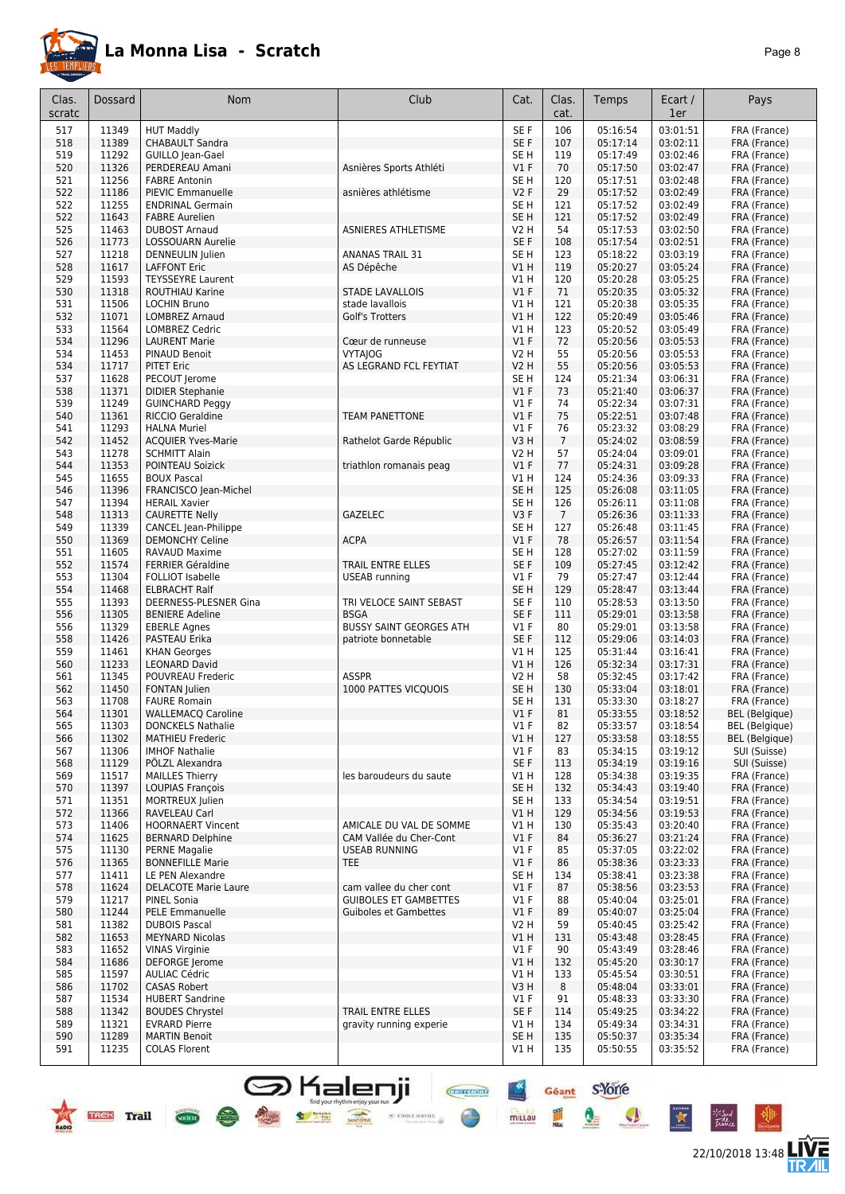

|--|--|

| Clas.<br>scratc | Dossard        | Nom                                                 | Club                                                    | Cat.                          | Clas.<br>cat.        | Temps                | Ecart /<br>1er       | Pays                         |
|-----------------|----------------|-----------------------------------------------------|---------------------------------------------------------|-------------------------------|----------------------|----------------------|----------------------|------------------------------|
| 517             | 11349          | <b>HUT Maddly</b>                                   |                                                         | SE F                          | 106                  | 05:16:54             | 03:01:51             | FRA (France)                 |
| 518             | 11389          | <b>CHABAULT Sandra</b>                              |                                                         | SE F                          | 107                  | 05:17:14             | 03:02:11             | FRA (France)                 |
| 519             | 11292          | GUILLO Jean-Gael                                    |                                                         | SE <sub>H</sub>               | 119                  | 05:17:49             | 03:02:46             | FRA (France)                 |
| 520             | 11326          | PERDEREAU Amani                                     | Asnières Sports Athléti                                 | $VI$ F                        | 70                   | 05:17:50             | 03:02:47             | FRA (France)                 |
| 521             | 11256          | <b>FABRE Antonin</b>                                |                                                         | SE <sub>H</sub>               | 120                  | 05:17:51             | 03:02:48             | FRA (France)                 |
| 522<br>522      | 11186<br>11255 | PIEVIC Emmanuelle<br><b>ENDRINAL Germain</b>        | asnières athlétisme                                     | <b>V2F</b><br>SE <sub>H</sub> | 29<br>121            | 05:17:52<br>05:17:52 | 03:02:49<br>03:02:49 | FRA (France)<br>FRA (France) |
| 522             | 11643          | <b>FABRE Aurelien</b>                               |                                                         | SE <sub>H</sub>               | 121                  | 05:17:52             | 03:02:49             | FRA (France)                 |
| 525             | 11463          | <b>DUBOST Arnaud</b>                                | ASNIERES ATHLETISME                                     | V2 H                          | 54                   | 05:17:53             | 03:02:50             | FRA (France)                 |
| 526             | 11773          | LOSSOUARN Aurelie                                   |                                                         | SE F                          | 108                  | 05:17:54             | 03:02:51             | FRA (France)                 |
| 527             | 11218          | DENNEULIN Julien                                    | <b>ANANAS TRAIL 31</b>                                  | SE <sub>H</sub>               | 123                  | 05:18:22             | 03:03:19             | FRA (France)                 |
| 528             | 11617          | <b>LAFFONT Eric</b>                                 | AS Dépêche                                              | V1H                           | 119                  | 05:20:27             | 03:05:24             | FRA (France)                 |
| 529             | 11593          | <b>TEYSSEYRE Laurent</b>                            |                                                         | <b>V1 H</b>                   | 120                  | 05:20:28             | 03:05:25             | FRA (France)                 |
| 530             | 11318          | ROUTHIAU Karine                                     | <b>STADE LAVALLOIS</b>                                  | $VI$ F                        | 71                   | 05:20:35             | 03:05:32             | FRA (France)                 |
| 531             | 11506          | <b>LOCHIN Bruno</b>                                 | stade lavallois                                         | V1H                           | 121                  | 05:20:38             | 03:05:35             | FRA (France)                 |
| 532<br>533      | 11071<br>11564 | <b>LOMBREZ Arnaud</b><br><b>LOMBREZ Cedric</b>      | Golf's Trotters                                         | V1 H<br><b>V1 H</b>           | 122<br>123           | 05:20:49<br>05:20:52 | 03:05:46<br>03:05:49 | FRA (France)<br>FRA (France) |
| 534             | 11296          | <b>LAURENT Marie</b>                                | Cœur de runneuse                                        | $VI$ F                        | 72                   | 05:20:56             | 03:05:53             | FRA (France)                 |
| 534             | 11453          | PINAUD Benoit                                       | <b>VYTAJOG</b>                                          | <b>V2 H</b>                   | 55                   | 05:20:56             | 03:05:53             | FRA (France)                 |
| 534             | 11717          | <b>PITET Eric</b>                                   | AS LEGRAND FCL FEYTIAT                                  | V2 H                          | 55                   | 05:20:56             | 03:05:53             | FRA (France)                 |
| 537             | 11628          | PECOUT Jerome                                       |                                                         | SE H                          | 124                  | 05:21:34             | 03:06:31             | FRA (France)                 |
| 538             | 11371          | <b>DIDIER Stephanie</b>                             |                                                         | $VI$ F                        | 73                   | 05:21:40             | 03:06:37             | FRA (France)                 |
| 539             | 11249          | <b>GUINCHARD Peggy</b>                              |                                                         | $VI$ F                        | 74                   | 05:22:34             | 03:07:31             | FRA (France)                 |
| 540             | 11361          | <b>RICCIO Geraldine</b>                             | <b>TEAM PANETTONE</b>                                   | $VI$ F                        | 75                   | 05:22:51             | 03:07:48             | FRA (France)                 |
| 541             | 11293<br>11452 | <b>HALNA Muriel</b>                                 |                                                         | $VI$ F                        | 76                   | 05:23:32<br>05:24:02 | 03:08:29<br>03:08:59 | FRA (France)                 |
| 542<br>543      | 11278          | <b>ACQUIER Yves-Marie</b><br><b>SCHMITT Alain</b>   | Rathelot Garde Républic                                 | V3H<br>V2 H                   | $\overline{7}$<br>57 | 05:24:04             | 03:09:01             | FRA (France)<br>FRA (France) |
| 544             | 11353          | POINTEAU Soizick                                    | triathlon romanais peag                                 | $VI$ F                        | 77                   | 05:24:31             | 03:09:28             | FRA (France)                 |
| 545             | 11655          | <b>BOUX Pascal</b>                                  |                                                         | V1 H                          | 124                  | 05:24:36             | 03:09:33             | FRA (France)                 |
| 546             | 11396          | FRANCISCO Jean-Michel                               |                                                         | SE <sub>H</sub>               | 125                  | 05:26:08             | 03:11:05             | FRA (France)                 |
| 547             | 11394          | <b>HERAIL Xavier</b>                                |                                                         | SE <sub>H</sub>               | 126                  | 05:26:11             | 03:11:08             | FRA (France)                 |
| 548             | 11313          | <b>CAURETTE Nelly</b>                               | GAZELEC                                                 | V3F                           | $\overline{7}$       | 05:26:36             | 03:11:33             | FRA (France)                 |
| 549             | 11339          | CANCEL Jean-Philippe                                |                                                         | SE <sub>H</sub>               | 127                  | 05:26:48             | 03:11:45             | FRA (France)                 |
| 550             | 11369          | <b>DEMONCHY Celine</b>                              | <b>ACPA</b>                                             | $VI$ F                        | 78                   | 05:26:57             | 03:11:54             | FRA (France)                 |
| 551<br>552      | 11605<br>11574 | RAVAUD Maxime                                       | TRAIL ENTRE ELLES                                       | SE H<br>SE F                  | 128<br>109           | 05:27:02             | 03:11:59<br>03:12:42 | FRA (France)                 |
| 553             | 11304          | <b>FERRIER Géraldine</b><br><b>FOLLIOT Isabelle</b> | <b>USEAB</b> running                                    | $VI$ F                        | 79                   | 05:27:45<br>05:27:47 | 03:12:44             | FRA (France)<br>FRA (France) |
| 554             | 11468          | <b>ELBRACHT Ralf</b>                                |                                                         | SE <sub>H</sub>               | 129                  | 05:28:47             | 03:13:44             | FRA (France)                 |
| 555             | 11393          | DEERNESS-PLESNER Gina                               | TRI VELOCE SAINT SEBAST                                 | SE <sub>F</sub>               | 110                  | 05:28:53             | 03:13:50             | FRA (France)                 |
| 556             | 11305          | <b>BENIERE Adeline</b>                              | <b>BSGA</b>                                             | SE F                          | 111                  | 05:29:01             | 03:13:58             | FRA (France)                 |
| 556             | 11329          | <b>EBERLE Agnes</b>                                 | <b>BUSSY SAINT GEORGES ATH</b>                          | $VI$ F                        | 80                   | 05:29:01             | 03:13:58             | FRA (France)                 |
| 558             | 11426          | PASTEAU Erika                                       | patriote bonnetable                                     | SE F                          | 112                  | 05:29:06             | 03:14:03             | FRA (France)                 |
| 559             | 11461          | <b>KHAN Georges</b>                                 |                                                         | V1 H                          | 125                  | 05:31:44             | 03:16:41             | FRA (France)                 |
| 560<br>561      | 11233          | <b>LEONARD David</b><br>POUVREAU Frederic           | <b>ASSPR</b>                                            | V1 H                          | 126<br>58            | 05:32:34             | 03:17:31             | FRA (France)                 |
| 562             | 11345<br>11450 | <b>FONTAN Julien</b>                                | 1000 PATTES VICQUOIS                                    | V2 H<br>SE H                  | 130                  | 05:32:45<br>05:33:04 | 03:17:42<br>03:18:01 | FRA (France)<br>FRA (France) |
| 563             | 11708          | <b>FAURE Romain</b>                                 |                                                         | SE H                          | 131                  | 05:33:30             | 03:18:27             | FRA (France)                 |
| 564             | 11301          | <b>WALLEMACQ Caroline</b>                           |                                                         | V1F                           | 81                   | 05:33:55             | 03:18:52             | <b>BEL</b> (Belgique)        |
| 565             | 11303          | <b>DONCKELS Nathalie</b>                            |                                                         | V1 F                          | 82                   | 05:33:57             | 03:18:54             | BEL (Belgique)               |
| 566             | 11302          | <b>MATHIEU Frederic</b>                             |                                                         | V1H                           | 127                  | 05:33:58             | 03:18:55             | <b>BEL</b> (Belgique)        |
| 567             | 11306          | <b>IMHOF Nathalie</b>                               |                                                         | V1F                           | 83                   | 05:34:15             | 03:19:12             | SUI (Suisse)                 |
| 568<br>569      | 11129<br>11517 | PÖLZL Alexandra<br><b>MAILLES Thierry</b>           | les baroudeurs du saute                                 | SE F<br>V1 H                  | 113<br>128           | 05:34:19<br>05:34:38 | 03:19:16<br>03:19:35 | SUI (Suisse)<br>FRA (France) |
| 570             | 11397          | <b>LOUPIAS Francois</b>                             |                                                         | SE <sub>H</sub>               | 132                  | 05:34:43             | 03:19:40             | FRA (France)                 |
| 571             | 11351          | MORTREUX Julien                                     |                                                         | SE H                          | 133                  | 05:34:54             | 03:19:51             | FRA (France)                 |
| 572             | 11366          | RAVELEAU Carl                                       |                                                         | V1H                           | 129                  | 05:34:56             | 03:19:53             | FRA (France)                 |
| 573             | 11406          | <b>HOORNAERT Vincent</b>                            | AMICALE DU VAL DE SOMME                                 | V1 H                          | 130                  | 05:35:43             | 03:20:40             | FRA (France)                 |
| 574             | 11625          | <b>BERNARD Delphine</b>                             | CAM Vallée du Cher-Cont                                 | $VI$ F                        | 84                   | 05:36:27             | 03:21:24             | FRA (France)                 |
| 575             | 11130          | <b>PERNE Magalie</b>                                | <b>USEAB RUNNING</b>                                    | $VI$ F                        | 85                   | 05:37:05             | 03:22:02             | FRA (France)                 |
| 576             | 11365          | <b>BONNEFILLE Marie</b>                             | TEE                                                     | V1F                           | 86                   | 05:38:36             | 03:23:33             | FRA (France)                 |
| 577<br>578      | 11411<br>11624 | LE PEN Alexandre                                    |                                                         | SE H<br>V1F                   | 134<br>87            | 05:38:41<br>05:38:56 | 03:23:38<br>03:23:53 | FRA (France)                 |
| 579             | 11217          | <b>DELACOTE Marie Laure</b><br>PINEL Sonia          | cam vallee du cher cont<br><b>GUIBOLES ET GAMBETTES</b> | $VI$ F                        | 88                   | 05:40:04             | 03:25:01             | FRA (France)<br>FRA (France) |
| 580             | 11244          | PELE Emmanuelle                                     | <b>Guiboles et Gambettes</b>                            | $VI$ F                        | 89                   | 05:40:07             | 03:25:04             | FRA (France)                 |
| 581             | 11382          | <b>DUBOIS Pascal</b>                                |                                                         | V2 H                          | 59                   | 05:40:45             | 03:25:42             | FRA (France)                 |
| 582             | 11653          | <b>MEYNARD Nicolas</b>                              |                                                         | <b>V1 H</b>                   | 131                  | 05:43:48             | 03:28:45             | FRA (France)                 |
| 583             | 11652          | <b>VINAS Virginie</b>                               |                                                         | $VI$ F                        | 90                   | 05:43:49             | 03:28:46             | FRA (France)                 |
| 584             | 11686          | DEFORGE Jerome                                      |                                                         | VIH                           | 132                  | 05:45:20             | 03:30:17             | FRA (France)                 |
| 585             | 11597          | <b>AULIAC Cédric</b>                                |                                                         | V1 H                          | 133                  | 05:45:54             | 03:30:51             | FRA (France)                 |
| 586             | 11702          | <b>CASAS Robert</b>                                 |                                                         | V3 H                          | 8                    | 05:48:04             | 03:33:01             | FRA (France)                 |
| 587<br>588      | 11534<br>11342 | <b>HUBERT Sandrine</b><br><b>BOUDES Chrystel</b>    | TRAIL ENTRE ELLES                                       | $VI$ F<br>SE F                | 91<br>114            | 05:48:33<br>05:49:25 | 03:33:30<br>03:34:22 | FRA (France)<br>FRA (France) |
| 589             | 11321          | <b>EVRARD Pierre</b>                                | gravity running experie                                 | V1 H                          | 134                  | 05:49:34             | 03:34:31             | FRA (France)                 |
| 590             | 11289          | <b>MARTIN Benoit</b>                                |                                                         | SE <sub>H</sub>               | 135                  | 05:50:37             | 03:35:34             | FRA (France)                 |
| 591             | 11235          | <b>COLAS Florent</b>                                |                                                         | V1H                           | 135                  | 05:50:55             | 03:35:52             | FRA (France)                 |

**S** Kalenji<br>\* \* \* \*



 $\overline{\text{C}^{\text{eff}}$ 



Tu.

Géant S-Yorre

 $\mathbf{Q}$ 

 $\boldsymbol{\Phi}$ 

 $\mathbf{\hat{z}}$ 

 $\frac{4}{\pi}$ 

mittau

**Chefrican** 

 $\times$  error server  $\otimes$